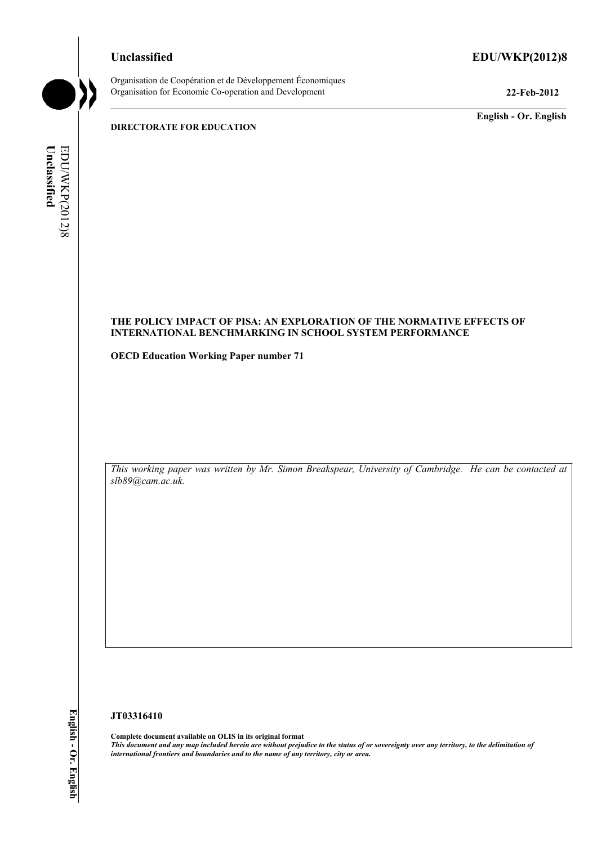# **Unclassified EDU/WKP(2012)8**



Organisation de Coopération et de Développement Économiques Organisation for Economic Co-operation and Development **22-Feb-2012** 

**English - Or. English** 

#### **DIRECTORATE FOR EDUCATION**

Unclassified EDUWKP(2012)8 **Unclassified**  EDU/WKP(2012)8

# **THE POLICY IMPACT OF PISA: AN EXPLORATION OF THE NORMATIVE EFFECTS OF INTERNATIONAL BENCHMARKING IN SCHOOL SYSTEM PERFORMANCE**

**OECD Education Working Paper number 71** 

*This working paper was written by Mr. Simon Breakspear, University of Cambridge. He can be contacted at slb89@cam.ac.uk.* 

#### **JT03316410**

**Complete document available on OLIS in its original format** *This document and any map included herein are without prejudice to the status of or sovereignty over any territory, to the delimitation of international frontiers and boundaries and to the name of any territory, city or area.*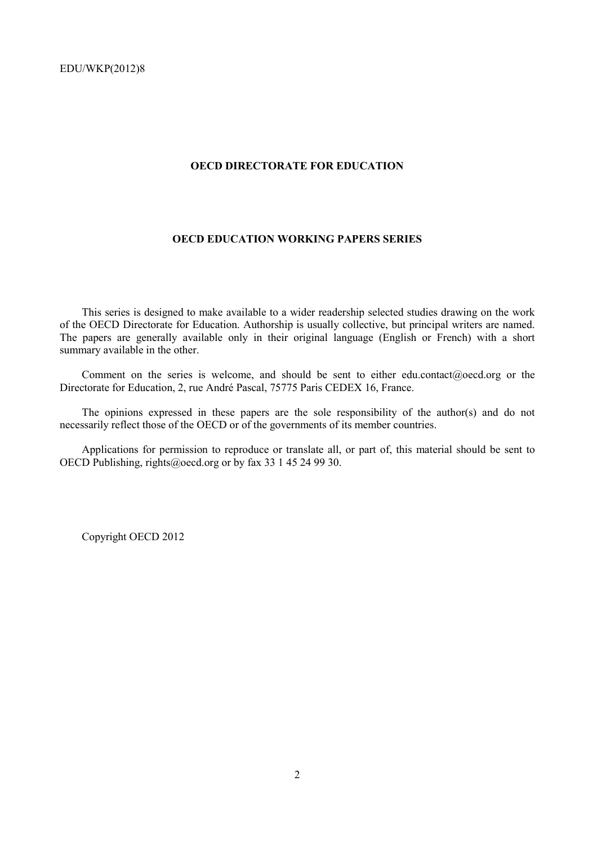### **OECD DIRECTORATE FOR EDUCATION**

# **OECD EDUCATION WORKING PAPERS SERIES**

This series is designed to make available to a wider readership selected studies drawing on the work of the OECD Directorate for Education. Authorship is usually collective, but principal writers are named. The papers are generally available only in their original language (English or French) with a short summary available in the other.

Comment on the series is welcome, and should be sent to either edu.contact@oecd.org or the Directorate for Education, 2, rue André Pascal, 75775 Paris CEDEX 16, France.

The opinions expressed in these papers are the sole responsibility of the author(s) and do not necessarily reflect those of the OECD or of the governments of its member countries.

Applications for permission to reproduce or translate all, or part of, this material should be sent to OECD Publishing, rights@oecd.org or by fax 33 1 45 24 99 30.

Copyright OECD 2012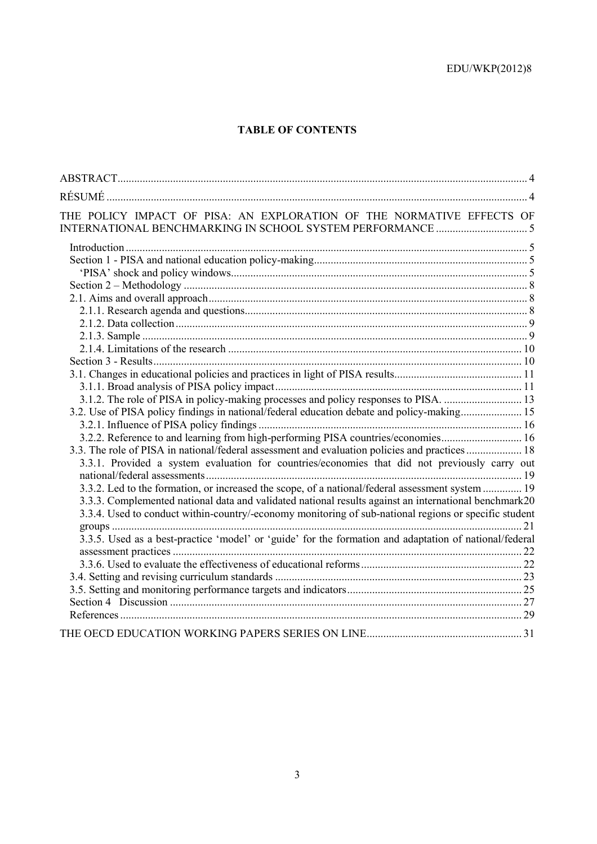# **TABLE OF CONTENTS**

| THE POLICY IMPACT OF PISA: AN EXPLORATION OF THE NORMATIVE EFFECTS OF                                  |  |
|--------------------------------------------------------------------------------------------------------|--|
|                                                                                                        |  |
|                                                                                                        |  |
|                                                                                                        |  |
|                                                                                                        |  |
|                                                                                                        |  |
|                                                                                                        |  |
|                                                                                                        |  |
|                                                                                                        |  |
|                                                                                                        |  |
|                                                                                                        |  |
|                                                                                                        |  |
|                                                                                                        |  |
| 3.1.2. The role of PISA in policy-making processes and policy responses to PISA.  13                   |  |
| 3.2. Use of PISA policy findings in national/federal education debate and policy-making 15             |  |
|                                                                                                        |  |
| 3.2.2. Reference to and learning from high-performing PISA countries/economies 16                      |  |
| 3.3. The role of PISA in national/federal assessment and evaluation policies and practices 18          |  |
| 3.3.1. Provided a system evaluation for countries/economies that did not previously carry out          |  |
|                                                                                                        |  |
| 3.3.2. Led to the formation, or increased the scope, of a national/federal assessment system  19       |  |
| 3.3.3. Complemented national data and validated national results against an international benchmark20  |  |
| 3.3.4. Used to conduct within-country/-economy monitoring of sub-national regions or specific student  |  |
|                                                                                                        |  |
| 3.3.5. Used as a best-practice 'model' or 'guide' for the formation and adaptation of national/federal |  |
|                                                                                                        |  |
|                                                                                                        |  |
|                                                                                                        |  |
|                                                                                                        |  |
|                                                                                                        |  |
|                                                                                                        |  |
|                                                                                                        |  |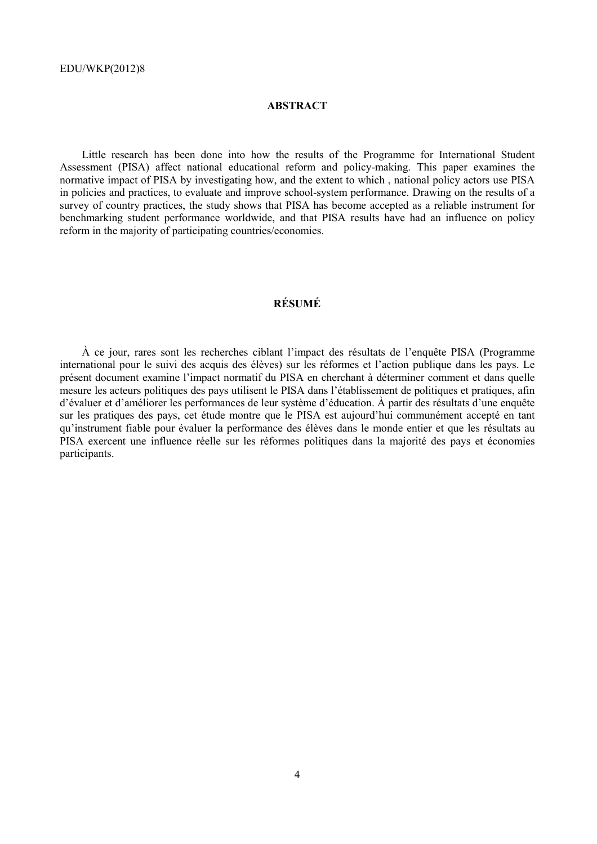# **ABSTRACT**

Little research has been done into how the results of the Programme for International Student Assessment (PISA) affect national educational reform and policy-making. This paper examines the normative impact of PISA by investigating how, and the extent to which , national policy actors use PISA in policies and practices, to evaluate and improve school-system performance. Drawing on the results of a survey of country practices, the study shows that PISA has become accepted as a reliable instrument for benchmarking student performance worldwide, and that PISA results have had an influence on policy reform in the majority of participating countries/economies.

# **RÉSUMÉ**

À ce jour, rares sont les recherches ciblant l'impact des résultats de l'enquête PISA (Programme international pour le suivi des acquis des élèves) sur les réformes et l'action publique dans les pays. Le présent document examine l'impact normatif du PISA en cherchant à déterminer comment et dans quelle mesure les acteurs politiques des pays utilisent le PISA dans l'établissement de politiques et pratiques, afin d'évaluer et d'améliorer les performances de leur système d'éducation. À partir des résultats d'une enquête sur les pratiques des pays, cet étude montre que le PISA est aujourd'hui communément accepté en tant qu'instrument fiable pour évaluer la performance des élèves dans le monde entier et que les résultats au PISA exercent une influence réelle sur les réformes politiques dans la majorité des pays et économies participants.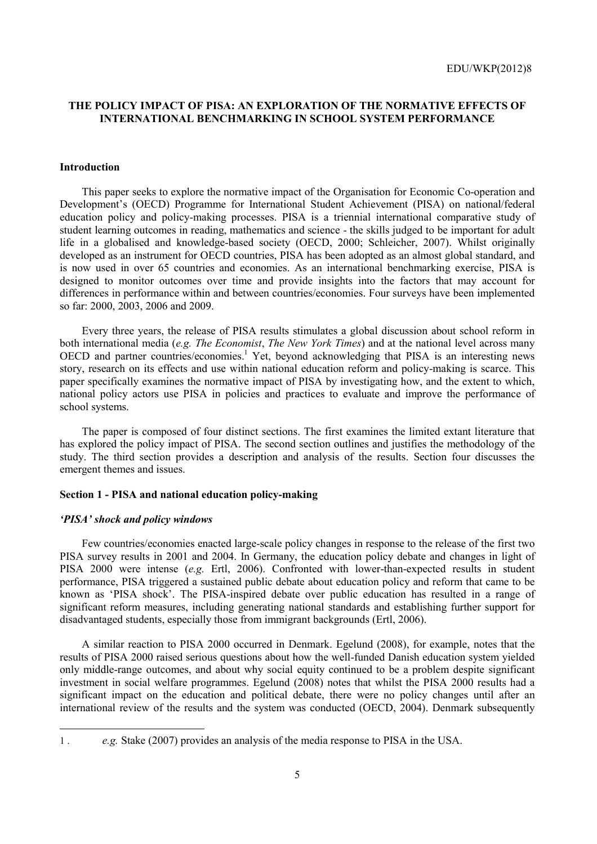# **THE POLICY IMPACT OF PISA: AN EXPLORATION OF THE NORMATIVE EFFECTS OF INTERNATIONAL BENCHMARKING IN SCHOOL SYSTEM PERFORMANCE**

#### **Introduction**

This paper seeks to explore the normative impact of the Organisation for Economic Co-operation and Development's (OECD) Programme for International Student Achievement (PISA) on national/federal education policy and policy-making processes. PISA is a triennial international comparative study of student learning outcomes in reading, mathematics and science - the skills judged to be important for adult life in a globalised and knowledge-based society (OECD, 2000; Schleicher, 2007). Whilst originally developed as an instrument for OECD countries, PISA has been adopted as an almost global standard, and is now used in over 65 countries and economies. As an international benchmarking exercise, PISA is designed to monitor outcomes over time and provide insights into the factors that may account for differences in performance within and between countries/economies. Four surveys have been implemented so far: 2000, 2003, 2006 and 2009.

Every three years, the release of PISA results stimulates a global discussion about school reform in both international media (*e.g. The Economist*, *The New York Times*) and at the national level across many OECD and partner countries/economies.<sup>1</sup> Yet, beyond acknowledging that PISA is an interesting news story, research on its effects and use within national education reform and policy-making is scarce. This paper specifically examines the normative impact of PISA by investigating how, and the extent to which, national policy actors use PISA in policies and practices to evaluate and improve the performance of school systems.

The paper is composed of four distinct sections. The first examines the limited extant literature that has explored the policy impact of PISA. The second section outlines and justifies the methodology of the study. The third section provides a description and analysis of the results. Section four discusses the emergent themes and issues.

#### **Section 1 - PISA and national education policy-making**

#### *'PISA' shock and policy windows*

Few countries/economies enacted large-scale policy changes in response to the release of the first two PISA survey results in 2001 and 2004. In Germany, the education policy debate and changes in light of PISA 2000 were intense (*e.g.* Ertl, 2006). Confronted with lower-than-expected results in student performance, PISA triggered a sustained public debate about education policy and reform that came to be known as 'PISA shock'. The PISA-inspired debate over public education has resulted in a range of significant reform measures, including generating national standards and establishing further support for disadvantaged students, especially those from immigrant backgrounds (Ertl, 2006).

A similar reaction to PISA 2000 occurred in Denmark. Egelund (2008), for example, notes that the results of PISA 2000 raised serious questions about how the well-funded Danish education system yielded only middle-range outcomes, and about why social equity continued to be a problem despite significant investment in social welfare programmes. Egelund (2008) notes that whilst the PISA 2000 results had a significant impact on the education and political debate, there were no policy changes until after an international review of the results and the system was conducted (OECD, 2004). Denmark subsequently

<sup>1 .</sup> *e.g.* Stake (2007) provides an analysis of the media response to PISA in the USA.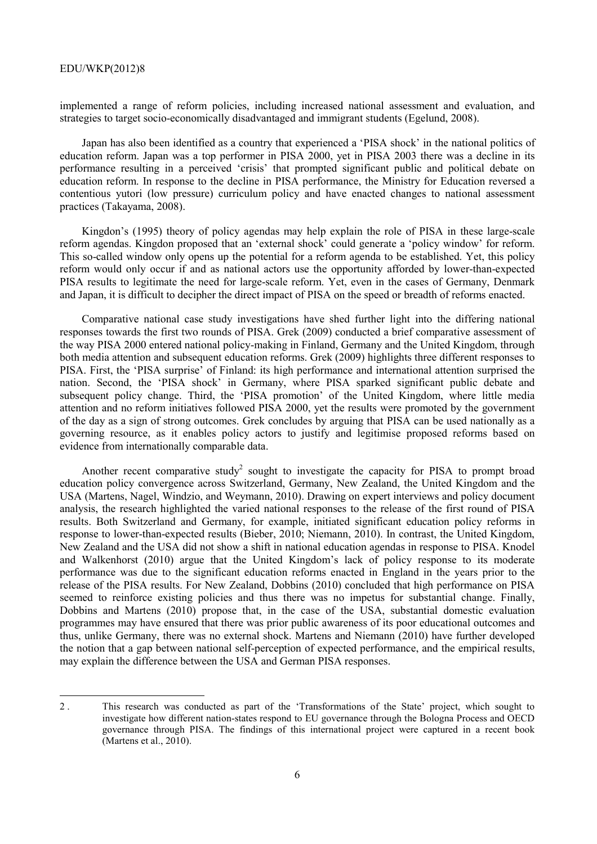implemented a range of reform policies, including increased national assessment and evaluation, and strategies to target socio-economically disadvantaged and immigrant students (Egelund, 2008).

Japan has also been identified as a country that experienced a 'PISA shock' in the national politics of education reform. Japan was a top performer in PISA 2000, yet in PISA 2003 there was a decline in its performance resulting in a perceived 'crisis' that prompted significant public and political debate on education reform. In response to the decline in PISA performance, the Ministry for Education reversed a contentious yutori (low pressure) curriculum policy and have enacted changes to national assessment practices (Takayama, 2008).

Kingdon's (1995) theory of policy agendas may help explain the role of PISA in these large-scale reform agendas. Kingdon proposed that an 'external shock' could generate a 'policy window' for reform. This so-called window only opens up the potential for a reform agenda to be established. Yet, this policy reform would only occur if and as national actors use the opportunity afforded by lower-than-expected PISA results to legitimate the need for large-scale reform. Yet, even in the cases of Germany, Denmark and Japan, it is difficult to decipher the direct impact of PISA on the speed or breadth of reforms enacted.

Comparative national case study investigations have shed further light into the differing national responses towards the first two rounds of PISA. Grek (2009) conducted a brief comparative assessment of the way PISA 2000 entered national policy-making in Finland, Germany and the United Kingdom, through both media attention and subsequent education reforms. Grek (2009) highlights three different responses to PISA. First, the 'PISA surprise' of Finland: its high performance and international attention surprised the nation. Second, the 'PISA shock' in Germany, where PISA sparked significant public debate and subsequent policy change. Third, the 'PISA promotion' of the United Kingdom, where little media attention and no reform initiatives followed PISA 2000, yet the results were promoted by the government of the day as a sign of strong outcomes. Grek concludes by arguing that PISA can be used nationally as a governing resource, as it enables policy actors to justify and legitimise proposed reforms based on evidence from internationally comparable data.

Another recent comparative study<sup>2</sup> sought to investigate the capacity for PISA to prompt broad education policy convergence across Switzerland, Germany, New Zealand, the United Kingdom and the USA (Martens, Nagel, Windzio, and Weymann, 2010). Drawing on expert interviews and policy document analysis, the research highlighted the varied national responses to the release of the first round of PISA results. Both Switzerland and Germany, for example, initiated significant education policy reforms in response to lower-than-expected results (Bieber, 2010; Niemann, 2010). In contrast, the United Kingdom, New Zealand and the USA did not show a shift in national education agendas in response to PISA. Knodel and Walkenhorst (2010) argue that the United Kingdom's lack of policy response to its moderate performance was due to the significant education reforms enacted in England in the years prior to the release of the PISA results. For New Zealand, Dobbins (2010) concluded that high performance on PISA seemed to reinforce existing policies and thus there was no impetus for substantial change. Finally, Dobbins and Martens (2010) propose that, in the case of the USA, substantial domestic evaluation programmes may have ensured that there was prior public awareness of its poor educational outcomes and thus, unlike Germany, there was no external shock. Martens and Niemann (2010) have further developed the notion that a gap between national self-perception of expected performance, and the empirical results, may explain the difference between the USA and German PISA responses.

<sup>2 .</sup> This research was conducted as part of the 'Transformations of the State' project, which sought to investigate how different nation-states respond to EU governance through the Bologna Process and OECD governance through PISA. The findings of this international project were captured in a recent book (Martens et al., 2010).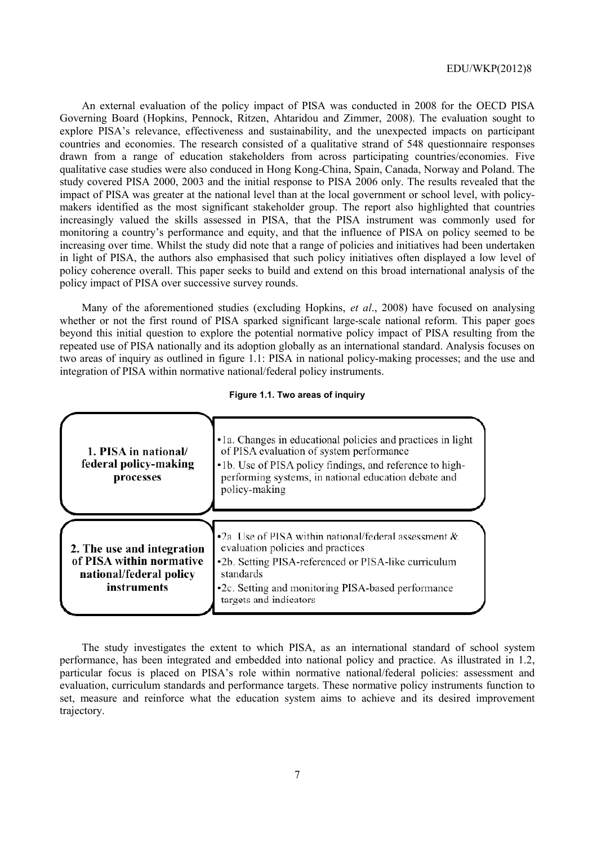An external evaluation of the policy impact of PISA was conducted in 2008 for the OECD PISA Governing Board (Hopkins, Pennock, Ritzen, Ahtaridou and Zimmer, 2008). The evaluation sought to explore PISA's relevance, effectiveness and sustainability, and the unexpected impacts on participant countries and economies. The research consisted of a qualitative strand of 548 questionnaire responses drawn from a range of education stakeholders from across participating countries/economies. Five qualitative case studies were also conduced in Hong Kong-China, Spain, Canada, Norway and Poland. The study covered PISA 2000, 2003 and the initial response to PISA 2006 only. The results revealed that the impact of PISA was greater at the national level than at the local government or school level, with policymakers identified as the most significant stakeholder group. The report also highlighted that countries increasingly valued the skills assessed in PISA, that the PISA instrument was commonly used for monitoring a country's performance and equity, and that the influence of PISA on policy seemed to be increasing over time. Whilst the study did note that a range of policies and initiatives had been undertaken in light of PISA, the authors also emphasised that such policy initiatives often displayed a low level of policy coherence overall. This paper seeks to build and extend on this broad international analysis of the policy impact of PISA over successive survey rounds.

Many of the aforementioned studies (excluding Hopkins, *et al*., 2008) have focused on analysing whether or not the first round of PISA sparked significant large-scale national reform. This paper goes beyond this initial question to explore the potential normative policy impact of PISA resulting from the repeated use of PISA nationally and its adoption globally as an international standard. Analysis focuses on two areas of inquiry as outlined in figure 1.1: PISA in national policy-making processes; and the use and integration of PISA within normative national/federal policy instruments.

| Figure 1.1. Two areas of inquiry |  |
|----------------------------------|--|
|----------------------------------|--|



The study investigates the extent to which PISA, as an international standard of school system performance, has been integrated and embedded into national policy and practice. As illustrated in 1.2, particular focus is placed on PISA's role within normative national/federal policies: assessment and evaluation, curriculum standards and performance targets. These normative policy instruments function to set, measure and reinforce what the education system aims to achieve and its desired improvement trajectory.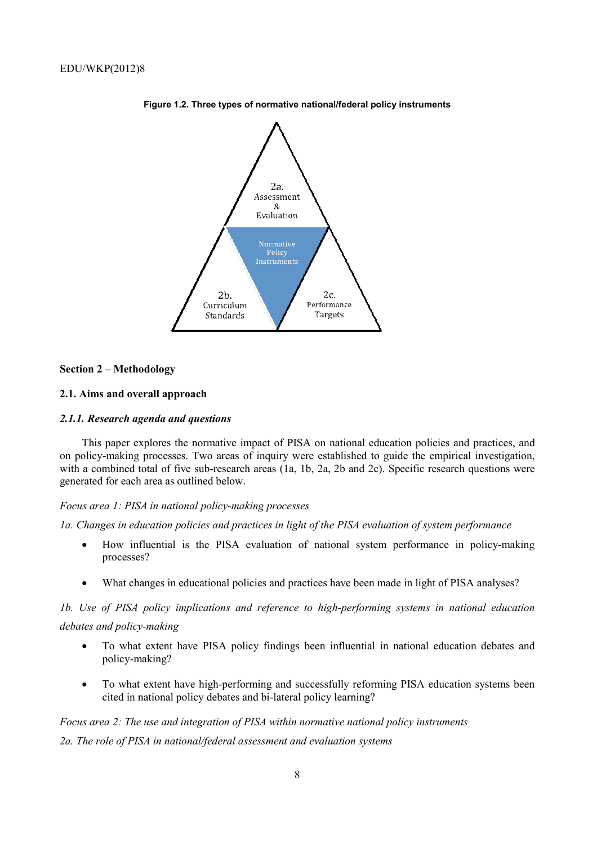

**Figure 1.2. Three types of normative national/federal policy instruments** 

#### **Section 2 – Methodology**

## **2.1. Aims and overall approach**

#### *2.1.1. Research agenda and questions*

This paper explores the normative impact of PISA on national education policies and practices, and on policy-making processes. Two areas of inquiry were established to guide the empirical investigation, with a combined total of five sub-research areas (1a, 1b, 2a, 2b and 2c). Specific research questions were generated for each area as outlined below.

#### *Focus area 1: PISA in national policy-making processes*

*1a. Changes in education policies and practices in light of the PISA evaluation of system performance* 

- How influential is the PISA evaluation of national system performance in policy-making processes?
- What changes in educational policies and practices have been made in light of PISA analyses?

# *1b. Use of PISA policy implications and reference to high-performing systems in national education debates and policy-making*

- To what extent have PISA policy findings been influential in national education debates and policy-making?
- To what extent have high-performing and successfully reforming PISA education systems been cited in national policy debates and bi-lateral policy learning?

# *Focus area 2: The use and integration of PISA within normative national policy instruments 2a. The role of PISA in national/federal assessment and evaluation systems*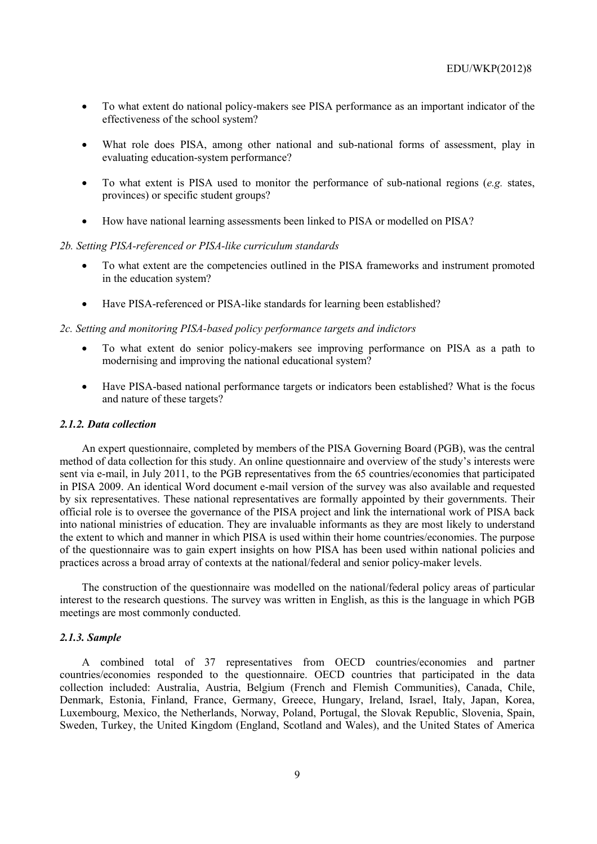- To what extent do national policy-makers see PISA performance as an important indicator of the effectiveness of the school system?
- What role does PISA, among other national and sub-national forms of assessment, play in evaluating education-system performance?
- To what extent is PISA used to monitor the performance of sub-national regions (*e.g.* states, provinces) or specific student groups?
- How have national learning assessments been linked to PISA or modelled on PISA?

#### *2b. Setting PISA-referenced or PISA-like curriculum standards*

- To what extent are the competencies outlined in the PISA frameworks and instrument promoted in the education system?
- Have PISA-referenced or PISA-like standards for learning been established?

#### *2c. Setting and monitoring PISA-based policy performance targets and indictors*

- To what extent do senior policy-makers see improving performance on PISA as a path to modernising and improving the national educational system?
- Have PISA-based national performance targets or indicators been established? What is the focus and nature of these targets?

# *2.1.2. Data collection*

An expert questionnaire, completed by members of the PISA Governing Board (PGB), was the central method of data collection for this study. An online questionnaire and overview of the study's interests were sent via e-mail, in July 2011, to the PGB representatives from the 65 countries/economies that participated in PISA 2009. An identical Word document e-mail version of the survey was also available and requested by six representatives. These national representatives are formally appointed by their governments. Their official role is to oversee the governance of the PISA project and link the international work of PISA back into national ministries of education. They are invaluable informants as they are most likely to understand the extent to which and manner in which PISA is used within their home countries/economies. The purpose of the questionnaire was to gain expert insights on how PISA has been used within national policies and practices across a broad array of contexts at the national/federal and senior policy-maker levels.

The construction of the questionnaire was modelled on the national/federal policy areas of particular interest to the research questions. The survey was written in English, as this is the language in which PGB meetings are most commonly conducted.

#### *2.1.3. Sample*

A combined total of 37 representatives from OECD countries/economies and partner countries/economies responded to the questionnaire. OECD countries that participated in the data collection included: Australia, Austria, Belgium (French and Flemish Communities), Canada, Chile, Denmark, Estonia, Finland, France, Germany, Greece, Hungary, Ireland, Israel, Italy, Japan, Korea, Luxembourg, Mexico, the Netherlands, Norway, Poland, Portugal, the Slovak Republic, Slovenia, Spain, Sweden, Turkey, the United Kingdom (England, Scotland and Wales), and the United States of America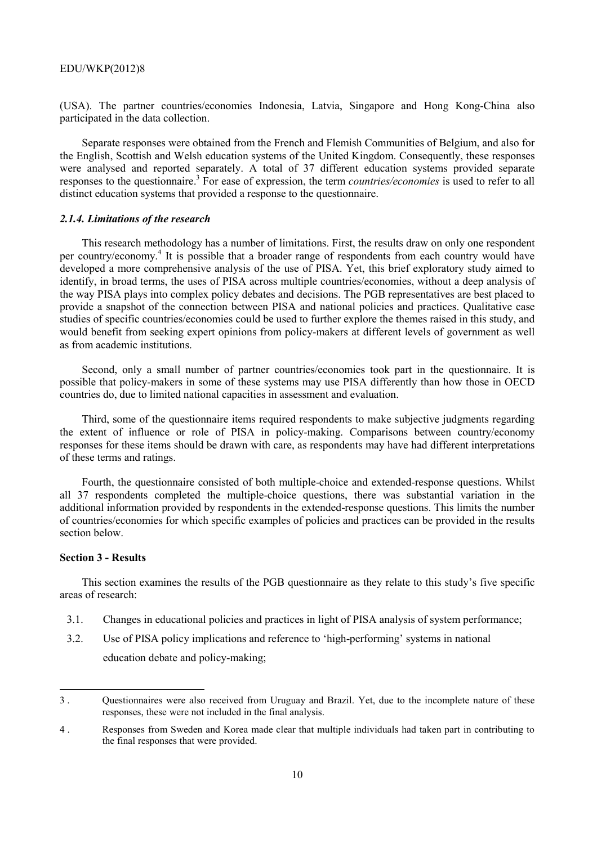(USA). The partner countries/economies Indonesia, Latvia, Singapore and Hong Kong-China also participated in the data collection.

Separate responses were obtained from the French and Flemish Communities of Belgium, and also for the English, Scottish and Welsh education systems of the United Kingdom. Consequently, these responses were analysed and reported separately. A total of 37 different education systems provided separate responses to the questionnaire.<sup>3</sup> For ease of expression, the term *countries/economies* is used to refer to all distinct education systems that provided a response to the questionnaire.

#### *2.1.4. Limitations of the research*

This research methodology has a number of limitations. First, the results draw on only one respondent per country/economy.<sup>4</sup> It is possible that a broader range of respondents from each country would have developed a more comprehensive analysis of the use of PISA. Yet, this brief exploratory study aimed to identify, in broad terms, the uses of PISA across multiple countries/economies, without a deep analysis of the way PISA plays into complex policy debates and decisions. The PGB representatives are best placed to provide a snapshot of the connection between PISA and national policies and practices. Qualitative case studies of specific countries/economies could be used to further explore the themes raised in this study, and would benefit from seeking expert opinions from policy-makers at different levels of government as well as from academic institutions.

Second, only a small number of partner countries/economies took part in the questionnaire. It is possible that policy-makers in some of these systems may use PISA differently than how those in OECD countries do, due to limited national capacities in assessment and evaluation.

Third, some of the questionnaire items required respondents to make subjective judgments regarding the extent of influence or role of PISA in policy-making. Comparisons between country/economy responses for these items should be drawn with care, as respondents may have had different interpretations of these terms and ratings.

Fourth, the questionnaire consisted of both multiple-choice and extended-response questions. Whilst all 37 respondents completed the multiple-choice questions, there was substantial variation in the additional information provided by respondents in the extended-response questions. This limits the number of countries/economies for which specific examples of policies and practices can be provided in the results section below.

# **Section 3 - Results**

This section examines the results of the PGB questionnaire as they relate to this study's five specific areas of research:

- 3.1. Changes in educational policies and practices in light of PISA analysis of system performance;
- 3.2. Use of PISA policy implications and reference to 'high-performing' systems in national education debate and policy-making;

<sup>3 .</sup> Questionnaires were also received from Uruguay and Brazil. Yet, due to the incomplete nature of these responses, these were not included in the final analysis.

<sup>4 .</sup> Responses from Sweden and Korea made clear that multiple individuals had taken part in contributing to the final responses that were provided.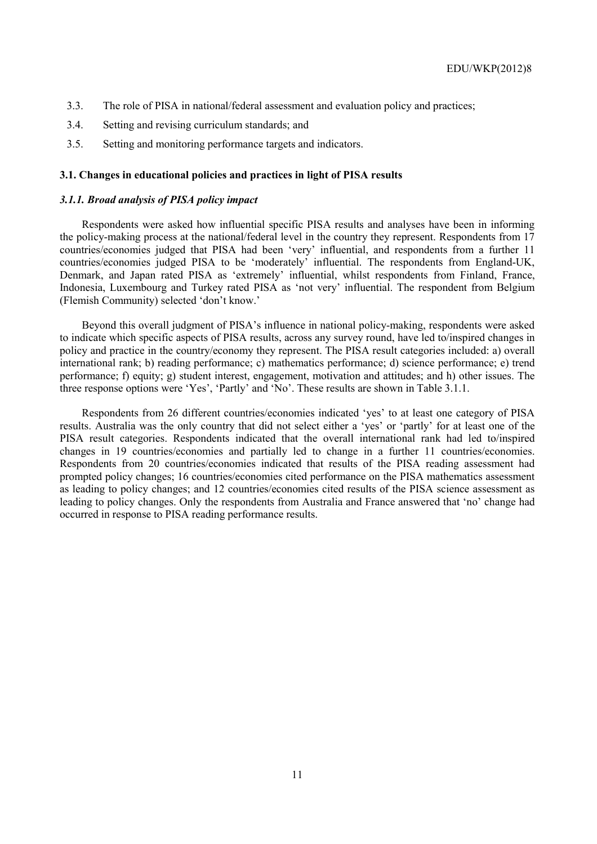- 3.3. The role of PISA in national/federal assessment and evaluation policy and practices;
- 3.4. Setting and revising curriculum standards; and
- 3.5. Setting and monitoring performance targets and indicators.

# **3.1. Changes in educational policies and practices in light of PISA results**

#### *3.1.1. Broad analysis of PISA policy impact*

Respondents were asked how influential specific PISA results and analyses have been in informing the policy-making process at the national/federal level in the country they represent. Respondents from 17 countries/economies judged that PISA had been 'very' influential, and respondents from a further 11 countries/economies judged PISA to be 'moderately' influential. The respondents from England-UK, Denmark, and Japan rated PISA as 'extremely' influential, whilst respondents from Finland, France, Indonesia, Luxembourg and Turkey rated PISA as 'not very' influential. The respondent from Belgium (Flemish Community) selected 'don't know.'

Beyond this overall judgment of PISA's influence in national policy-making, respondents were asked to indicate which specific aspects of PISA results, across any survey round, have led to/inspired changes in policy and practice in the country/economy they represent. The PISA result categories included: a) overall international rank; b) reading performance; c) mathematics performance; d) science performance; e) trend performance; f) equity; g) student interest, engagement, motivation and attitudes; and h) other issues. The three response options were 'Yes', 'Partly' and 'No'. These results are shown in Table 3.1.1.

Respondents from 26 different countries/economies indicated 'yes' to at least one category of PISA results. Australia was the only country that did not select either a 'yes' or 'partly' for at least one of the PISA result categories. Respondents indicated that the overall international rank had led to/inspired changes in 19 countries/economies and partially led to change in a further 11 countries/economies. Respondents from 20 countries/economies indicated that results of the PISA reading assessment had prompted policy changes; 16 countries/economies cited performance on the PISA mathematics assessment as leading to policy changes; and 12 countries/economies cited results of the PISA science assessment as leading to policy changes. Only the respondents from Australia and France answered that 'no' change had occurred in response to PISA reading performance results.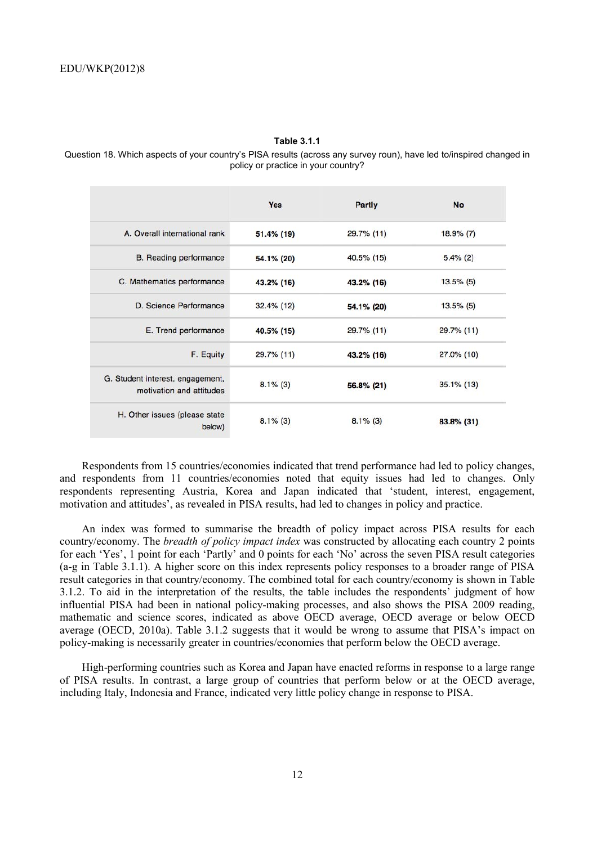#### **Table 3.1.1**

Question 18. Which aspects of your country's PISA results (across any survey roun), have led to/inspired changed in policy or practice in your country?

|                                                              | Yes           | Partly        | <b>No</b>     |
|--------------------------------------------------------------|---------------|---------------|---------------|
| A. Overall international rank                                | 51.4% (19)    | 29.7% (11)    | $18.9\%$ (7)  |
| <b>B.</b> Reading performance                                | 54.1% (20)    | 40.5% (15)    | $5.4\%$ (2)   |
| C. Mathematics performance                                   | 43.2% (16)    | $43.2\%$ (16) | $13.5\%$ (5)  |
| D. Science Performance                                       | $32.4\%$ (12) | 54.1% (20)    | $13.5\%$ (5)  |
| E. Trend performance                                         | 40.5% (15)    | 29.7% (11)    | $29.7\%$ (11) |
| F. Equity                                                    | 29.7% (11)    | 43.2% (16)    | $27.0\%$ (10) |
| G. Student interest, engagement,<br>motivation and attitudes | $8.1\%$ (3)   | $56.8\%$ (21) | $35.1\%$ (13) |
| H. Other issues (please state)<br>below)                     | $8.1\%$ (3)   | $8.1\%$ (3)   | 83.8% (31)    |

Respondents from 15 countries/economies indicated that trend performance had led to policy changes, and respondents from 11 countries/economies noted that equity issues had led to changes. Only respondents representing Austria, Korea and Japan indicated that 'student, interest, engagement, motivation and attitudes', as revealed in PISA results, had led to changes in policy and practice.

An index was formed to summarise the breadth of policy impact across PISA results for each country/economy. The *breadth of policy impact index* was constructed by allocating each country 2 points for each 'Yes', 1 point for each 'Partly' and 0 points for each 'No' across the seven PISA result categories (a-g in Table 3.1.1). A higher score on this index represents policy responses to a broader range of PISA result categories in that country/economy. The combined total for each country/economy is shown in Table 3.1.2. To aid in the interpretation of the results, the table includes the respondents' judgment of how influential PISA had been in national policy-making processes, and also shows the PISA 2009 reading, mathematic and science scores, indicated as above OECD average, OECD average or below OECD average (OECD, 2010a). Table 3.1.2 suggests that it would be wrong to assume that PISA's impact on policy-making is necessarily greater in countries/economies that perform below the OECD average.

High-performing countries such as Korea and Japan have enacted reforms in response to a large range of PISA results. In contrast, a large group of countries that perform below or at the OECD average, including Italy, Indonesia and France, indicated very little policy change in response to PISA.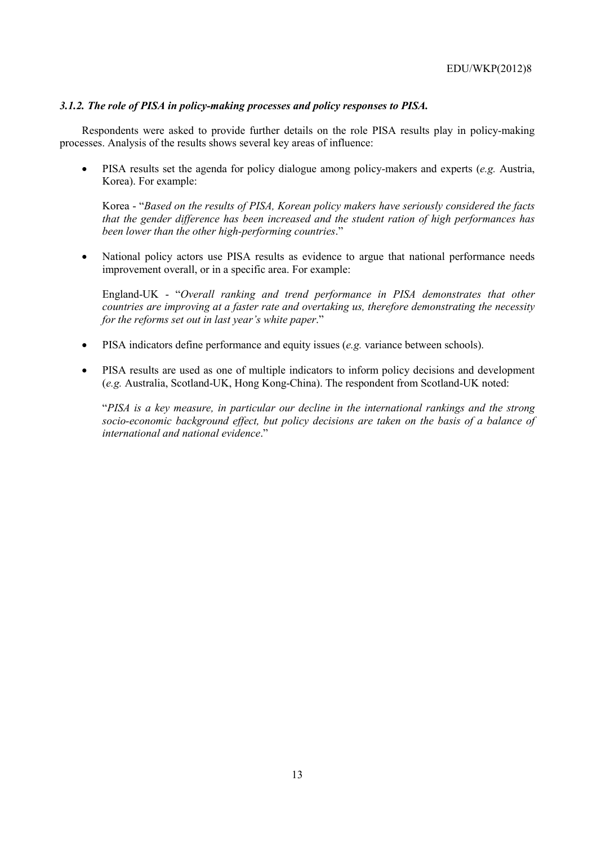# *3.1.2. The role of PISA in policy-making processes and policy responses to PISA.*

Respondents were asked to provide further details on the role PISA results play in policy-making processes. Analysis of the results shows several key areas of influence:

• PISA results set the agenda for policy dialogue among policy-makers and experts (*e.g.* Austria, Korea). For example:

Korea - "*Based on the results of PISA, Korean policy makers have seriously considered the facts that the gender difference has been increased and the student ration of high performances has been lower than the other high-performing countries*."

• National policy actors use PISA results as evidence to argue that national performance needs improvement overall, or in a specific area. For example:

England-UK - "*Overall ranking and trend performance in PISA demonstrates that other countries are improving at a faster rate and overtaking us, therefore demonstrating the necessity for the reforms set out in last year's white paper*."

- PISA indicators define performance and equity issues (*e.g.* variance between schools).
- PISA results are used as one of multiple indicators to inform policy decisions and development (*e.g.* Australia, Scotland-UK, Hong Kong-China). The respondent from Scotland-UK noted:

"*PISA is a key measure, in particular our decline in the international rankings and the strong socio-economic background effect, but policy decisions are taken on the basis of a balance of international and national evidence*."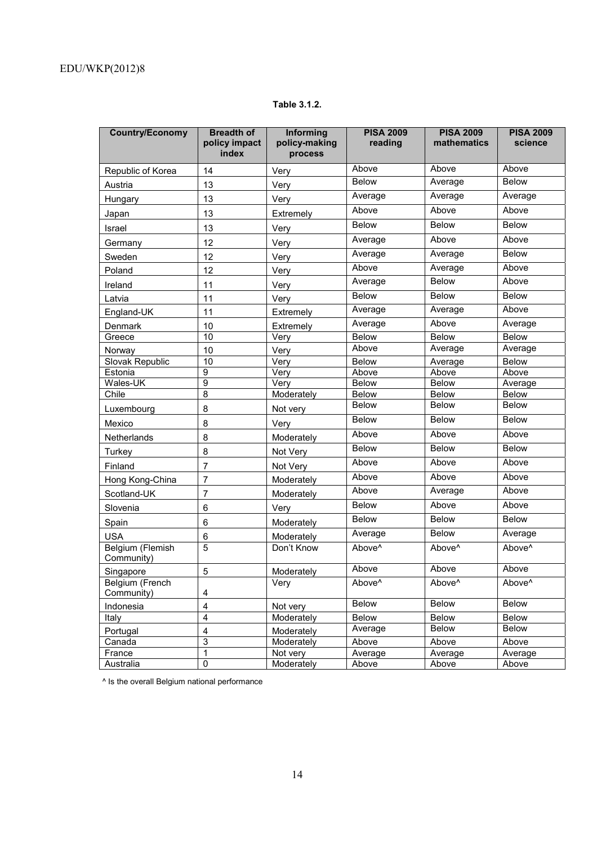# **Table 3.1.2.**

| <b>Country/Economy</b>         | <b>Breadth of</b><br>policy impact<br>index | <b>Informing</b><br>policy-making<br>process | <b>PISA 2009</b><br>reading | <b>PISA 2009</b><br>mathematics | <b>PISA 2009</b><br>science |
|--------------------------------|---------------------------------------------|----------------------------------------------|-----------------------------|---------------------------------|-----------------------------|
| Republic of Korea              | 14                                          | Very                                         | Above                       | Above                           | Above                       |
| Austria                        | 13                                          | Very                                         | Below                       | Average                         | <b>Below</b>                |
| Hungary                        | 13                                          | Very                                         | Average                     | Average                         | Average                     |
| Japan                          | 13                                          | Extremely                                    | Above                       | Above                           | Above                       |
| Israel                         | 13                                          | Very                                         | <b>Below</b>                | <b>Below</b>                    | <b>Below</b>                |
| Germany                        | 12                                          | Very                                         | Average                     | Above                           | Above                       |
| Sweden                         | 12                                          | Very                                         | Average                     | Average                         | <b>Below</b>                |
| Poland                         | 12                                          | Very                                         | Above                       | Average                         | Above                       |
| Ireland                        | 11                                          | Very                                         | Average                     | <b>Below</b>                    | Above                       |
| Latvia                         | 11                                          | Very                                         | Below                       | <b>Below</b>                    | <b>Below</b>                |
| England-UK                     | 11                                          | Extremely                                    | Average                     | Average                         | Above                       |
| Denmark                        | 10                                          | Extremely                                    | Average                     | Above                           | Average                     |
| Greece                         | $\overline{10}$                             | Very                                         | Below                       | <b>Below</b>                    | Below                       |
| Norway                         | 10                                          | Very                                         | Above                       | Average                         | Average                     |
| Slovak Republic                | $\overline{10}$                             | Very                                         | <b>Below</b>                | Average                         | <b>Below</b>                |
| Estonia                        | 9                                           | Very                                         | Above                       | Above                           | Above                       |
| Wales-UK                       | $\overline{9}$                              | Very                                         | Below                       | <b>Below</b>                    | Average                     |
| Chile                          | $\overline{8}$                              | Moderately                                   | <b>Below</b>                | Below                           | <b>Below</b>                |
| Luxembourg                     | 8                                           | Not very                                     | Below                       | <b>Below</b>                    | Below                       |
| Mexico                         | 8                                           | Very                                         | <b>Below</b>                | <b>Below</b>                    | <b>Below</b>                |
| Netherlands                    | 8                                           | Moderately                                   | Above                       | Above                           | Above                       |
| Turkey                         | 8                                           | Not Very                                     | <b>Below</b>                | <b>Below</b>                    | <b>Below</b>                |
| Finland                        | $\overline{7}$                              | Not Very                                     | Above                       | Above                           | Above                       |
| Hong Kong-China                | $\overline{7}$                              | Moderately                                   | Above                       | Above                           | Above                       |
| Scotland-UK                    | 7                                           | Moderately                                   | Above                       | Average                         | Above                       |
| Slovenia                       | 6                                           | Very                                         | Below                       | Above                           | Above                       |
| Spain                          | 6                                           | Moderately                                   | <b>Below</b>                | <b>Below</b>                    | <b>Below</b>                |
| <b>USA</b>                     | $\,6$                                       | Moderately                                   | Average                     | Below                           | Average                     |
| Belgium (Flemish<br>Community) | $\overline{5}$                              | Don't Know                                   | Above <sup>^</sup>          | Above <sup>^</sup>              | Above <sup>^</sup>          |
| Singapore                      | 5                                           | Moderately                                   | Above                       | Above                           | Above                       |
| Belgium (French<br>Community)  | 4                                           | Very                                         | Above <sup>^</sup>          | Above <sup>^</sup>              | Above <sup>^</sup>          |
| Indonesia                      | $\overline{\mathbf{4}}$                     | Not very                                     | Below                       | Below                           | Below                       |
| Italy                          | $\overline{4}$                              | Moderately                                   | Below                       | Below                           | <b>Below</b>                |
| Portugal                       | $\overline{\mathbf{4}}$                     | Moderately                                   | Average                     | Below                           | Below                       |
| Canada                         | 3                                           | Moderately                                   | Above                       | Above                           | Above                       |
| France                         | 1                                           | Not very                                     | Average                     | Average                         | Average                     |
| Australia                      | 0                                           | Moderately                                   | Above                       | Above                           | Above                       |
|                                |                                             |                                              |                             |                                 |                             |

^ Is the overall Belgium national performance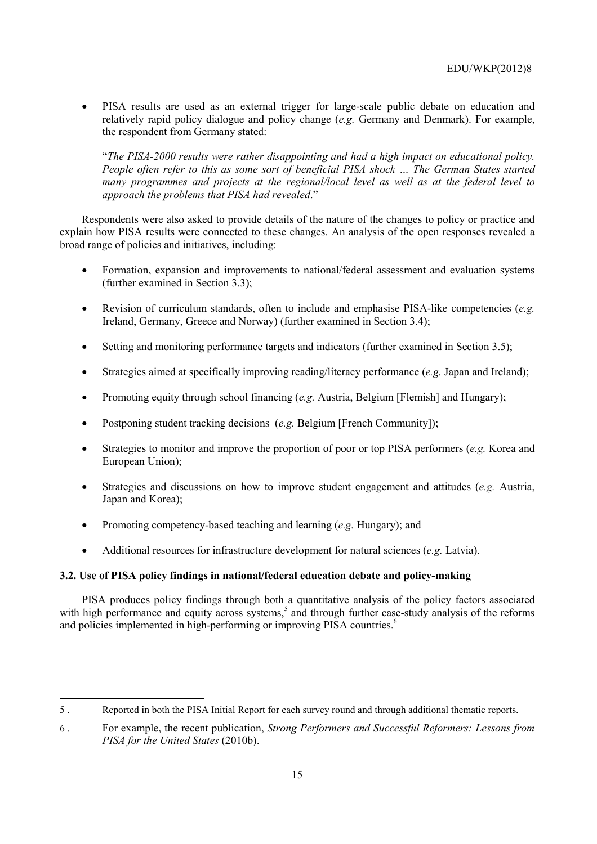• PISA results are used as an external trigger for large-scale public debate on education and relatively rapid policy dialogue and policy change (*e.g.* Germany and Denmark). For example, the respondent from Germany stated:

"*The PISA-2000 results were rather disappointing and had a high impact on educational policy. People often refer to this as some sort of beneficial PISA shock … The German States started many programmes and projects at the regional/local level as well as at the federal level to approach the problems that PISA had revealed*."

Respondents were also asked to provide details of the nature of the changes to policy or practice and explain how PISA results were connected to these changes. An analysis of the open responses revealed a broad range of policies and initiatives, including:

- Formation, expansion and improvements to national/federal assessment and evaluation systems (further examined in Section 3.3);
- Revision of curriculum standards, often to include and emphasise PISA-like competencies (*e.g.* Ireland, Germany, Greece and Norway) (further examined in Section 3.4);
- Setting and monitoring performance targets and indicators (further examined in Section 3.5);
- Strategies aimed at specifically improving reading/literacy performance (*e.g.* Japan and Ireland);
- Promoting equity through school financing (*e.g.* Austria, Belgium [Flemish] and Hungary);
- Postponing student tracking decisions (*e.g.* Belgium [French Community]);
- Strategies to monitor and improve the proportion of poor or top PISA performers (*e.g.* Korea and European Union);
- Strategies and discussions on how to improve student engagement and attitudes (*e.g.* Austria, Japan and Korea);
- Promoting competency-based teaching and learning (*e.g.* Hungary); and

 $\overline{a}$ 

• Additional resources for infrastructure development for natural sciences (*e.g.* Latvia).

# **3.2. Use of PISA policy findings in national/federal education debate and policy-making**

PISA produces policy findings through both a quantitative analysis of the policy factors associated with high performance and equity across systems,<sup>5</sup> and through further case-study analysis of the reforms and policies implemented in high-performing or improving PISA countries.<sup>6</sup>

<sup>5 .</sup> Reported in both the PISA Initial Report for each survey round and through additional thematic reports.

<sup>6 .</sup> For example, the recent publication, *Strong Performers and Successful Reformers: Lessons from PISA for the United States* (2010b).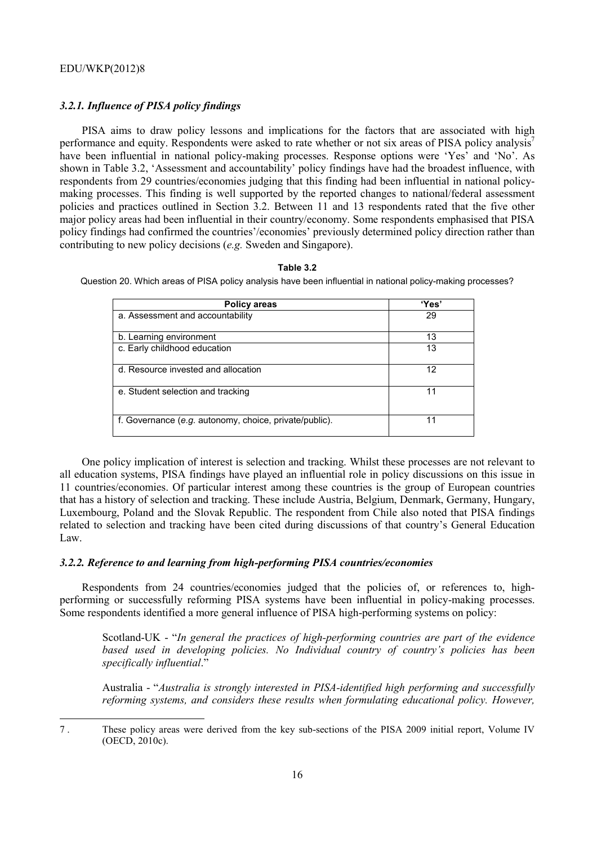# *3.2.1. Influence of PISA policy findings*

PISA aims to draw policy lessons and implications for the factors that are associated with high performance and equity. Respondents were asked to rate whether or not six areas of PISA policy analysis<sup>7</sup> have been influential in national policy-making processes. Response options were 'Yes' and 'No'. As shown in Table 3.2, 'Assessment and accountability' policy findings have had the broadest influence, with respondents from 29 countries/economies judging that this finding had been influential in national policymaking processes. This finding is well supported by the reported changes to national/federal assessment policies and practices outlined in Section 3.2. Between 11 and 13 respondents rated that the five other major policy areas had been influential in their country/economy. Some respondents emphasised that PISA policy findings had confirmed the countries'/economies' previously determined policy direction rather than contributing to new policy decisions (*e.g.* Sweden and Singapore).

#### **Table 3.2**

Question 20. Which areas of PISA policy analysis have been influential in national policy-making processes?

| <b>Policy areas</b>                                    | 'Yes' |
|--------------------------------------------------------|-------|
| a. Assessment and accountability                       | 29    |
| b. Learning environment                                | 13    |
| c. Early childhood education                           | 13    |
| d. Resource invested and allocation                    | 12    |
| e. Student selection and tracking                      | 11    |
| f. Governance (e.g. autonomy, choice, private/public). | 11    |

One policy implication of interest is selection and tracking. Whilst these processes are not relevant to all education systems, PISA findings have played an influential role in policy discussions on this issue in 11 countries/economies. Of particular interest among these countries is the group of European countries that has a history of selection and tracking. These include Austria, Belgium, Denmark, Germany, Hungary, Luxembourg, Poland and the Slovak Republic. The respondent from Chile also noted that PISA findings related to selection and tracking have been cited during discussions of that country's General Education Law.

#### *3.2.2. Reference to and learning from high-performing PISA countries/economies*

Respondents from 24 countries/economies judged that the policies of, or references to, highperforming or successfully reforming PISA systems have been influential in policy-making processes. Some respondents identified a more general influence of PISA high-performing systems on policy:

Scotland-UK - "*In general the practices of high-performing countries are part of the evidence based used in developing policies. No Individual country of country's policies has been specifically influential*."

Australia - "*Australia is strongly interested in PISA-identified high performing and successfully reforming systems, and considers these results when formulating educational policy. However,* 

<sup>7 .</sup> These policy areas were derived from the key sub-sections of the PISA 2009 initial report, Volume IV (OECD, 2010c).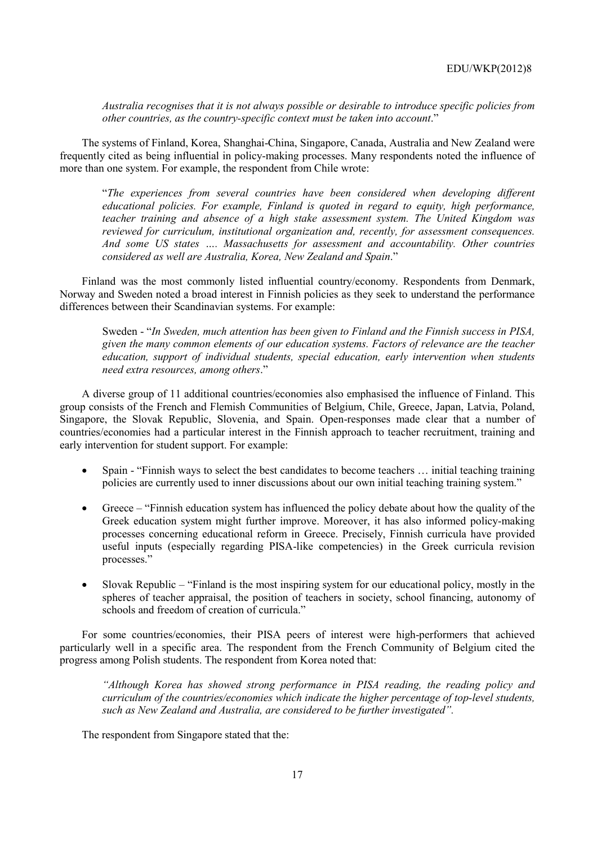*Australia recognises that it is not always possible or desirable to introduce specific policies from other countries, as the country-specific context must be taken into account*."

The systems of Finland, Korea, Shanghai-China, Singapore, Canada, Australia and New Zealand were frequently cited as being influential in policy-making processes. Many respondents noted the influence of more than one system. For example, the respondent from Chile wrote:

"*The experiences from several countries have been considered when developing different educational policies. For example, Finland is quoted in regard to equity, high performance, teacher training and absence of a high stake assessment system. The United Kingdom was reviewed for curriculum, institutional organization and, recently, for assessment consequences. And some US states …. Massachusetts for assessment and accountability. Other countries considered as well are Australia, Korea, New Zealand and Spain*."

Finland was the most commonly listed influential country/economy. Respondents from Denmark, Norway and Sweden noted a broad interest in Finnish policies as they seek to understand the performance differences between their Scandinavian systems. For example:

Sweden - "*In Sweden, much attention has been given to Finland and the Finnish success in PISA, given the many common elements of our education systems. Factors of relevance are the teacher education, support of individual students, special education, early intervention when students need extra resources, among others*."

A diverse group of 11 additional countries/economies also emphasised the influence of Finland. This group consists of the French and Flemish Communities of Belgium, Chile, Greece, Japan, Latvia, Poland, Singapore, the Slovak Republic, Slovenia, and Spain. Open-responses made clear that a number of countries/economies had a particular interest in the Finnish approach to teacher recruitment, training and early intervention for student support. For example:

- Spain "Finnish ways to select the best candidates to become teachers … initial teaching training policies are currently used to inner discussions about our own initial teaching training system."
- Greece "Finnish education system has influenced the policy debate about how the quality of the Greek education system might further improve. Moreover, it has also informed policy-making processes concerning educational reform in Greece. Precisely, Finnish curricula have provided useful inputs (especially regarding PISA-like competencies) in the Greek curricula revision processes."
- Slovak Republic "Finland is the most inspiring system for our educational policy, mostly in the spheres of teacher appraisal, the position of teachers in society, school financing, autonomy of schools and freedom of creation of curricula."

For some countries/economies, their PISA peers of interest were high-performers that achieved particularly well in a specific area. The respondent from the French Community of Belgium cited the progress among Polish students. The respondent from Korea noted that:

*"Although Korea has showed strong performance in PISA reading, the reading policy and curriculum of the countries/economies which indicate the higher percentage of top-level students, such as New Zealand and Australia, are considered to be further investigated".* 

The respondent from Singapore stated that the: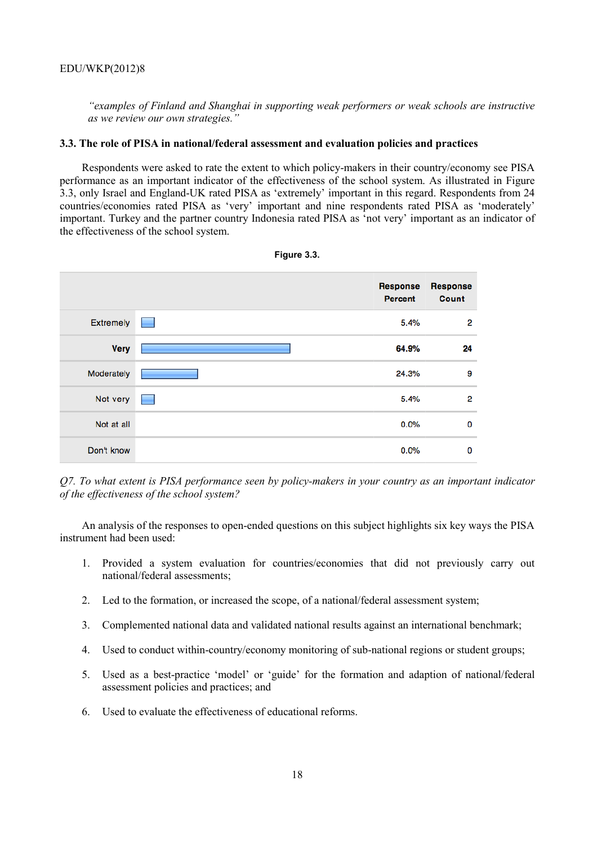*"examples of Finland and Shanghai in supporting weak performers or weak schools are instructive as we review our own strategies."*

#### **3.3. The role of PISA in national/federal assessment and evaluation policies and practices**

Respondents were asked to rate the extent to which policy-makers in their country/economy see PISA performance as an important indicator of the effectiveness of the school system. As illustrated in Figure 3.3, only Israel and England-UK rated PISA as 'extremely' important in this regard. Respondents from 24 countries/economies rated PISA as 'very' important and nine respondents rated PISA as 'moderately' important. Turkey and the partner country Indonesia rated PISA as 'not very' important as an indicator of the effectiveness of the school system.



| Figure 3.3. |  |
|-------------|--|
|-------------|--|

*Q7. To what extent is PISA performance seen by policy-makers in your country as an important indicator of the effectiveness of the school system?* 

An analysis of the responses to open-ended questions on this subject highlights six key ways the PISA instrument had been used:

- 1. Provided a system evaluation for countries/economies that did not previously carry out national/federal assessments;
- 2. Led to the formation, or increased the scope, of a national/federal assessment system;
- 3. Complemented national data and validated national results against an international benchmark;
- 4. Used to conduct within-country/economy monitoring of sub-national regions or student groups;
- 5. Used as a best-practice 'model' or 'guide' for the formation and adaption of national/federal assessment policies and practices; and
- 6. Used to evaluate the effectiveness of educational reforms.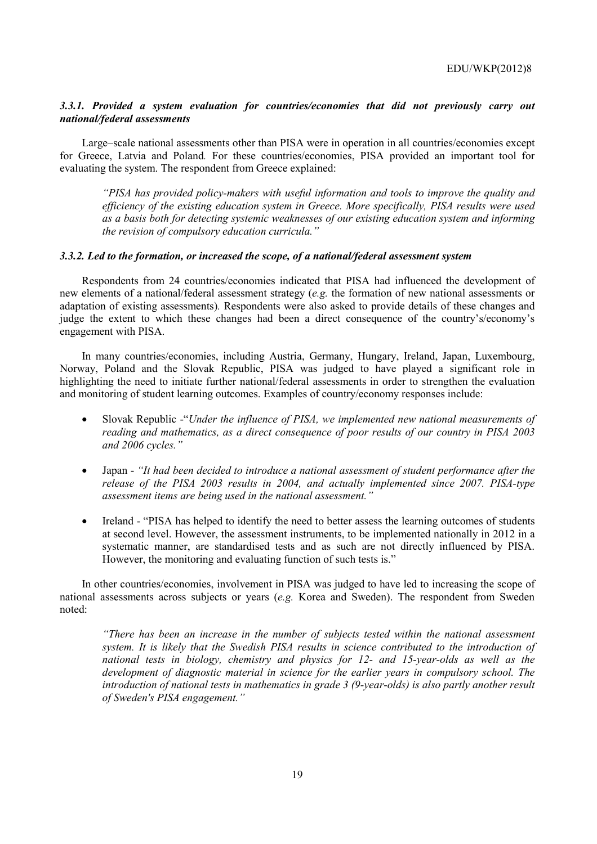# *3.3.1. Provided a system evaluation for countries/economies that did not previously carry out national/federal assessments*

Large–scale national assessments other than PISA were in operation in all countries/economies except for Greece, Latvia and Poland*.* For these countries/economies, PISA provided an important tool for evaluating the system. The respondent from Greece explained:

*"PISA has provided policy-makers with useful information and tools to improve the quality and efficiency of the existing education system in Greece. More specifically, PISA results were used as a basis both for detecting systemic weaknesses of our existing education system and informing the revision of compulsory education curricula."* 

## *3.3.2. Led to the formation, or increased the scope, of a national/federal assessment system*

Respondents from 24 countries/economies indicated that PISA had influenced the development of new elements of a national/federal assessment strategy (*e.g.* the formation of new national assessments or adaptation of existing assessments)*.* Respondents were also asked to provide details of these changes and judge the extent to which these changes had been a direct consequence of the country's/economy's engagement with PISA.

In many countries/economies, including Austria, Germany, Hungary, Ireland, Japan, Luxembourg, Norway, Poland and the Slovak Republic, PISA was judged to have played a significant role in highlighting the need to initiate further national/federal assessments in order to strengthen the evaluation and monitoring of student learning outcomes. Examples of country/economy responses include:

- Slovak Republic -"*Under the influence of PISA, we implemented new national measurements of reading and mathematics, as a direct consequence of poor results of our country in PISA 2003 and 2006 cycles."*
- Japan *"It had been decided to introduce a national assessment of student performance after the release of the PISA 2003 results in 2004, and actually implemented since 2007. PISA-type assessment items are being used in the national assessment."*
- Ireland "PISA has helped to identify the need to better assess the learning outcomes of students at second level. However, the assessment instruments, to be implemented nationally in 2012 in a systematic manner, are standardised tests and as such are not directly influenced by PISA. However, the monitoring and evaluating function of such tests is."

In other countries/economies, involvement in PISA was judged to have led to increasing the scope of national assessments across subjects or years (*e.g.* Korea and Sweden). The respondent from Sweden noted:

*"There has been an increase in the number of subjects tested within the national assessment system. It is likely that the Swedish PISA results in science contributed to the introduction of national tests in biology, chemistry and physics for 12- and 15-year-olds as well as the development of diagnostic material in science for the earlier years in compulsory school. The introduction of national tests in mathematics in grade 3 (9-year-olds) is also partly another result of Sweden's PISA engagement."*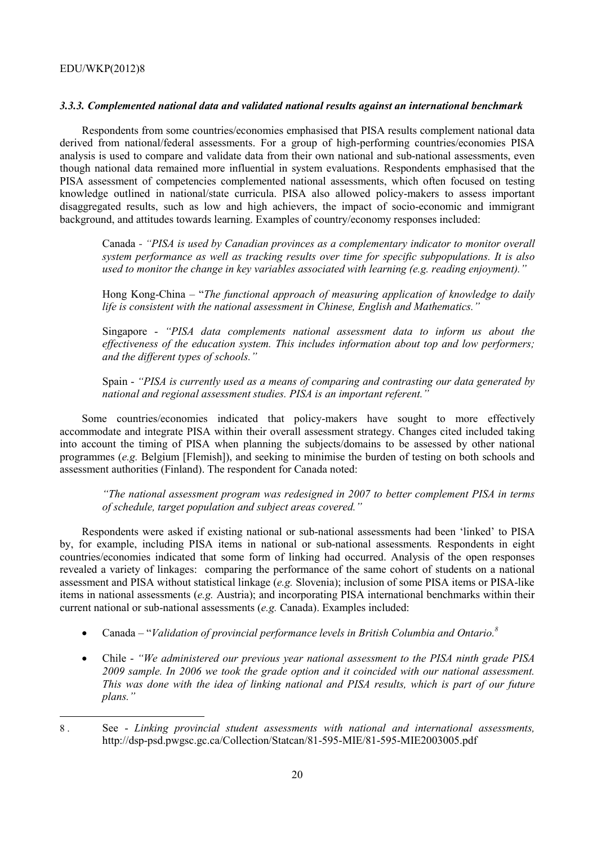#### *3.3.3. Complemented national data and validated national results against an international benchmark*

Respondents from some countries/economies emphasised that PISA results complement national data derived from national/federal assessments. For a group of high-performing countries/economies PISA analysis is used to compare and validate data from their own national and sub-national assessments, even though national data remained more influential in system evaluations. Respondents emphasised that the PISA assessment of competencies complemented national assessments, which often focused on testing knowledge outlined in national/state curricula. PISA also allowed policy-makers to assess important disaggregated results, such as low and high achievers, the impact of socio-economic and immigrant background, and attitudes towards learning. Examples of country/economy responses included:

Canada - *"PISA is used by Canadian provinces as a complementary indicator to monitor overall system performance as well as tracking results over time for specific subpopulations. It is also used to monitor the change in key variables associated with learning (e.g. reading enjoyment)."*

Hong Kong-China – "*The functional approach of measuring application of knowledge to daily life is consistent with the national assessment in Chinese, English and Mathematics."*

Singapore - *"PISA data complements national assessment data to inform us about the effectiveness of the education system. This includes information about top and low performers; and the different types of schools."*

Spain - *"PISA is currently used as a means of comparing and contrasting our data generated by national and regional assessment studies. PISA is an important referent."*

Some countries/economies indicated that policy-makers have sought to more effectively accommodate and integrate PISA within their overall assessment strategy. Changes cited included taking into account the timing of PISA when planning the subjects/domains to be assessed by other national programmes (*e.g.* Belgium [Flemish]), and seeking to minimise the burden of testing on both schools and assessment authorities (Finland). The respondent for Canada noted:

*"The national assessment program was redesigned in 2007 to better complement PISA in terms of schedule, target population and subject areas covered."* 

Respondents were asked if existing national or sub-national assessments had been 'linked' to PISA by, for example, including PISA items in national or sub-national assessments*.* Respondents in eight countries/economies indicated that some form of linking had occurred. Analysis of the open responses revealed a variety of linkages: comparing the performance of the same cohort of students on a national assessment and PISA without statistical linkage (*e.g.* Slovenia); inclusion of some PISA items or PISA-like items in national assessments (*e.g.* Austria); and incorporating PISA international benchmarks within their current national or sub-national assessments (*e.g.* Canada). Examples included:

- Canada "*Validation of provincial performance levels in British Columbia and Ontario.8*
- Chile *"We administered our previous year national assessment to the PISA ninth grade PISA 2009 sample. In 2006 we took the grade option and it coincided with our national assessment. This was done with the idea of linking national and PISA results, which is part of our future plans."*

<sup>8 .</sup> See - *Linking provincial student assessments with national and international assessments,* http://dsp-psd.pwgsc.gc.ca/Collection/Statcan/81-595-MIE/81-595-MIE2003005.pdf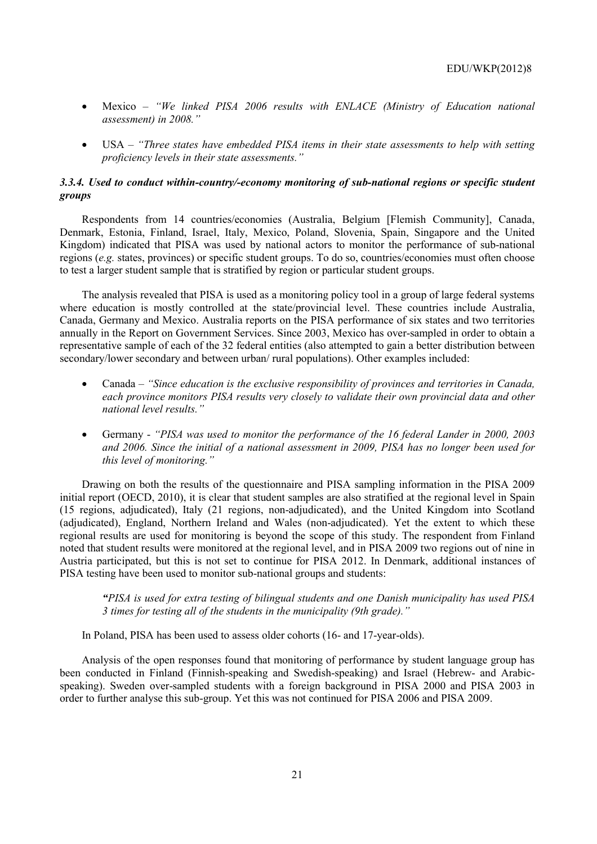- Mexico *"We linked PISA 2006 results with ENLACE (Ministry of Education national assessment) in 2008."*
- USA *"Three states have embedded PISA items in their state assessments to help with setting proficiency levels in their state assessments."*

# *3.3.4. Used to conduct within-country/-economy monitoring of sub-national regions or specific student groups*

Respondents from 14 countries/economies (Australia, Belgium [Flemish Community], Canada, Denmark, Estonia, Finland, Israel, Italy, Mexico, Poland, Slovenia, Spain, Singapore and the United Kingdom) indicated that PISA was used by national actors to monitor the performance of sub-national regions (*e.g.* states, provinces) or specific student groups. To do so, countries/economies must often choose to test a larger student sample that is stratified by region or particular student groups.

The analysis revealed that PISA is used as a monitoring policy tool in a group of large federal systems where education is mostly controlled at the state/provincial level. These countries include Australia, Canada, Germany and Mexico. Australia reports on the PISA performance of six states and two territories annually in the Report on Government Services. Since 2003, Mexico has over-sampled in order to obtain a representative sample of each of the 32 federal entities (also attempted to gain a better distribution between secondary/lower secondary and between urban/ rural populations). Other examples included:

- Canada *"Since education is the exclusive responsibility of provinces and territories in Canada, each province monitors PISA results very closely to validate their own provincial data and other national level results."*
- Germany *"PISA was used to monitor the performance of the 16 federal Lander in 2000, 2003 and 2006. Since the initial of a national assessment in 2009, PISA has no longer been used for this level of monitoring."*

Drawing on both the results of the questionnaire and PISA sampling information in the PISA 2009 initial report (OECD, 2010), it is clear that student samples are also stratified at the regional level in Spain (15 regions, adjudicated), Italy (21 regions, non-adjudicated), and the United Kingdom into Scotland (adjudicated), England, Northern Ireland and Wales (non-adjudicated). Yet the extent to which these regional results are used for monitoring is beyond the scope of this study. The respondent from Finland noted that student results were monitored at the regional level, and in PISA 2009 two regions out of nine in Austria participated, but this is not set to continue for PISA 2012. In Denmark, additional instances of PISA testing have been used to monitor sub-national groups and students:

*"PISA is used for extra testing of bilingual students and one Danish municipality has used PISA 3 times for testing all of the students in the municipality (9th grade)."* 

In Poland, PISA has been used to assess older cohorts (16- and 17-year-olds).

Analysis of the open responses found that monitoring of performance by student language group has been conducted in Finland (Finnish-speaking and Swedish-speaking) and Israel (Hebrew- and Arabicspeaking). Sweden over-sampled students with a foreign background in PISA 2000 and PISA 2003 in order to further analyse this sub-group. Yet this was not continued for PISA 2006 and PISA 2009.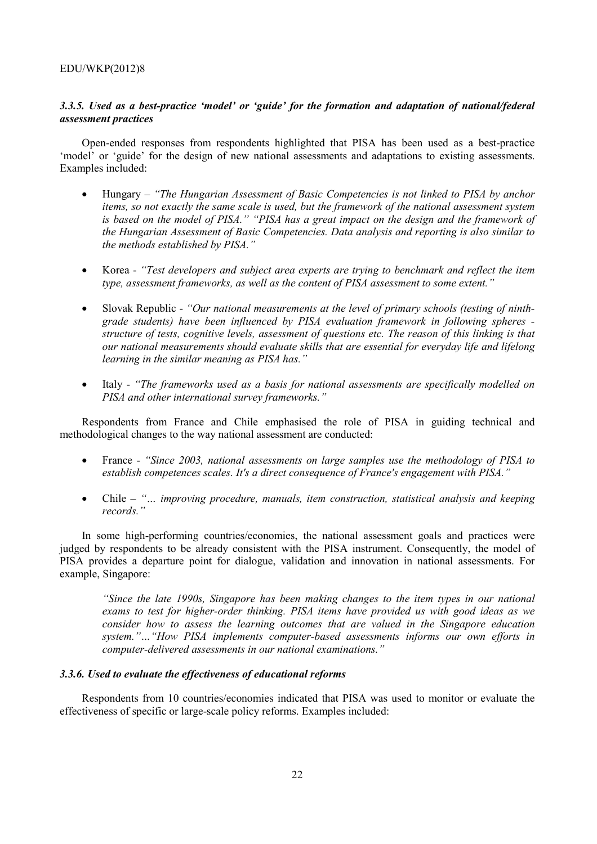## EDU/WKP(2012)8

# *3.3.5. Used as a best-practice 'model' or 'guide' for the formation and adaptation of national/federal assessment practices*

Open-ended responses from respondents highlighted that PISA has been used as a best-practice 'model' or 'guide' for the design of new national assessments and adaptations to existing assessments. Examples included:

- Hungary *"The Hungarian Assessment of Basic Competencies is not linked to PISA by anchor items, so not exactly the same scale is used, but the framework of the national assessment system is based on the model of PISA." "PISA has a great impact on the design and the framework of the Hungarian Assessment of Basic Competencies. Data analysis and reporting is also similar to the methods established by PISA."*
- Korea *"Test developers and subject area experts are trying to benchmark and reflect the item type, assessment frameworks, as well as the content of PISA assessment to some extent."*
- Slovak Republic "Our national measurements at the level of primary schools (testing of ninth*grade students) have been influenced by PISA evaluation framework in following spheres structure of tests, cognitive levels, assessment of questions etc. The reason of this linking is that our national measurements should evaluate skills that are essential for everyday life and lifelong learning in the similar meaning as PISA has."*
- Italy *"The frameworks used as a basis for national assessments are specifically modelled on PISA and other international survey frameworks."*

Respondents from France and Chile emphasised the role of PISA in guiding technical and methodological changes to the way national assessment are conducted:

- France *"Since 2003, national assessments on large samples use the methodology of PISA to establish competences scales. It's a direct consequence of France's engagement with PISA."*
- Chile *"… improving procedure, manuals, item construction, statistical analysis and keeping records."*

In some high-performing countries/economies, the national assessment goals and practices were judged by respondents to be already consistent with the PISA instrument. Consequently, the model of PISA provides a departure point for dialogue, validation and innovation in national assessments. For example, Singapore:

*"Since the late 1990s, Singapore has been making changes to the item types in our national exams to test for higher-order thinking. PISA items have provided us with good ideas as we consider how to assess the learning outcomes that are valued in the Singapore education system."…"How PISA implements computer-based assessments informs our own efforts in computer-delivered assessments in our national examinations."* 

#### *3.3.6. Used to evaluate the effectiveness of educational reforms*

Respondents from 10 countries/economies indicated that PISA was used to monitor or evaluate the effectiveness of specific or large-scale policy reforms. Examples included: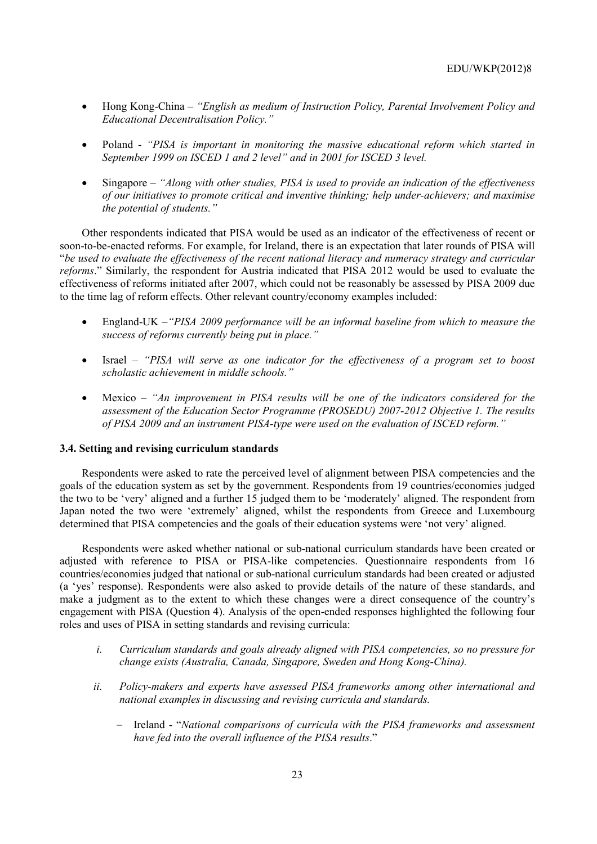- Hong Kong-China *"English as medium of Instruction Policy, Parental Involvement Policy and Educational Decentralisation Policy."*
- Poland *"PISA is important in monitoring the massive educational reform which started in September 1999 on ISCED 1 and 2 level" and in 2001 for ISCED 3 level.*
- Singapore *"Along with other studies, PISA is used to provide an indication of the effectiveness of our initiatives to promote critical and inventive thinking; help under-achievers; and maximise the potential of students."*

Other respondents indicated that PISA would be used as an indicator of the effectiveness of recent or soon-to-be-enacted reforms. For example, for Ireland, there is an expectation that later rounds of PISA will "*be used to evaluate the effectiveness of the recent national literacy and numeracy strategy and curricular reforms*." Similarly, the respondent for Austria indicated that PISA 2012 would be used to evaluate the effectiveness of reforms initiated after 2007, which could not be reasonably be assessed by PISA 2009 due to the time lag of reform effects. Other relevant country/economy examples included:

- England-UK *–"PISA 2009 performance will be an informal baseline from which to measure the success of reforms currently being put in place."*
- Israel *"PISA will serve as one indicator for the effectiveness of a program set to boost scholastic achievement in middle schools."*
- Mexico *"An improvement in PISA results will be one of the indicators considered for the assessment of the Education Sector Programme (PROSEDU) 2007-2012 Objective 1. The results of PISA 2009 and an instrument PISA-type were used on the evaluation of ISCED reform."*

#### **3.4. Setting and revising curriculum standards**

Respondents were asked to rate the perceived level of alignment between PISA competencies and the goals of the education system as set by the government. Respondents from 19 countries/economies judged the two to be 'very' aligned and a further 15 judged them to be 'moderately' aligned. The respondent from Japan noted the two were 'extremely' aligned, whilst the respondents from Greece and Luxembourg determined that PISA competencies and the goals of their education systems were 'not very' aligned.

Respondents were asked whether national or sub-national curriculum standards have been created or adjusted with reference to PISA or PISA-like competencies. Questionnaire respondents from 16 countries/economies judged that national or sub-national curriculum standards had been created or adjusted (a 'yes' response). Respondents were also asked to provide details of the nature of these standards, and make a judgment as to the extent to which these changes were a direct consequence of the country's engagement with PISA (Question 4). Analysis of the open-ended responses highlighted the following four roles and uses of PISA in setting standards and revising curricula:

- *i. Curriculum standards and goals already aligned with PISA competencies, so no pressure for change exists (Australia, Canada, Singapore, Sweden and Hong Kong-China).*
- *ii. Policy-makers and experts have assessed PISA frameworks among other international and national examples in discussing and revising curricula and standards.* 
	- − Ireland "*National comparisons of curricula with the PISA frameworks and assessment have fed into the overall influence of the PISA results*."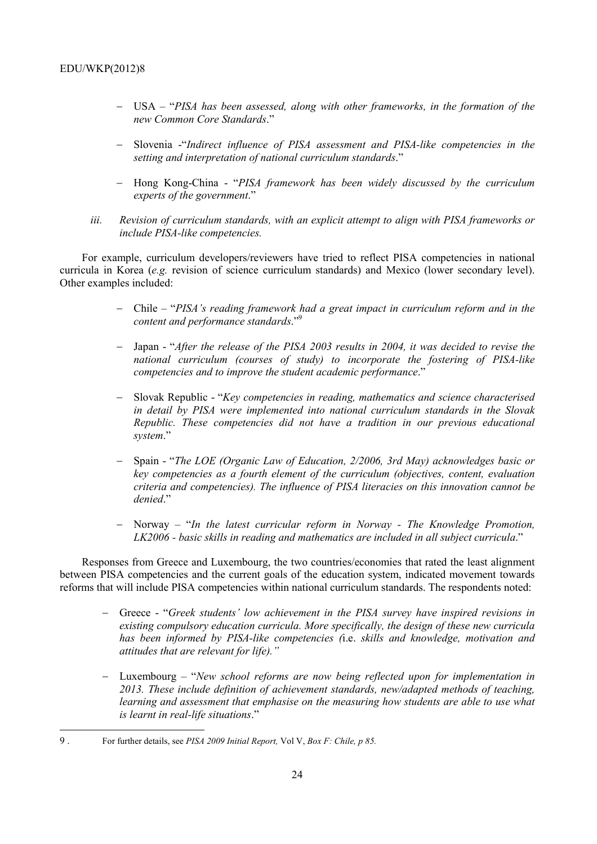- − USA "*PISA has been assessed, along with other frameworks, in the formation of the new Common Core Standards*."
- − Slovenia -"*Indirect influence of PISA assessment and PISA-like competencies in the setting and interpretation of national curriculum standards*."
- − Hong Kong-China "*PISA framework has been widely discussed by the curriculum experts of the government*."
- *iii. Revision of curriculum standards, with an explicit attempt to align with PISA frameworks or include PISA-like competencies.*

For example, curriculum developers/reviewers have tried to reflect PISA competencies in national curricula in Korea (*e.g.* revision of science curriculum standards) and Mexico (lower secondary level). Other examples included:

- − Chile "*PISA's reading framework had a great impact in curriculum reform and in the content and performance standards*."9
- − Japan "*After the release of the PISA 2003 results in 2004, it was decided to revise the national curriculum (courses of study) to incorporate the fostering of PISA-like competencies and to improve the student academic performance*."
- − Slovak Republic "*Key competencies in reading, mathematics and science characterised in detail by PISA were implemented into national curriculum standards in the Slovak Republic. These competencies did not have a tradition in our previous educational system*."
- − Spain "*The LOE (Organic Law of Education, 2/2006, 3rd May) acknowledges basic or key competencies as a fourth element of the curriculum (objectives, content, evaluation criteria and competencies). The influence of PISA literacies on this innovation cannot be denied*."
- − Norway "*In the latest curricular reform in Norway The Knowledge Promotion, LK2006 - basic skills in reading and mathematics are included in all subject curricula*."

Responses from Greece and Luxembourg, the two countries/economies that rated the least alignment between PISA competencies and the current goals of the education system, indicated movement towards reforms that will include PISA competencies within national curriculum standards. The respondents noted:

- − Greece "*Greek students' low achievement in the PISA survey have inspired revisions in existing compulsory education curricula. More specifically, the design of these new curricula has been informed by PISA-like competencies (*i.e. *skills and knowledge, motivation and attitudes that are relevant for life)."*
- − Luxembourg "*New school reforms are now being reflected upon for implementation in 2013. These include definition of achievement standards, new/adapted methods of teaching, learning and assessment that emphasise on the measuring how students are able to use what is learnt in real-life situations*."

<sup>9 .</sup> For further details, see *PISA 2009 Initial Report,* Vol V, *Box F: Chile, p 85.*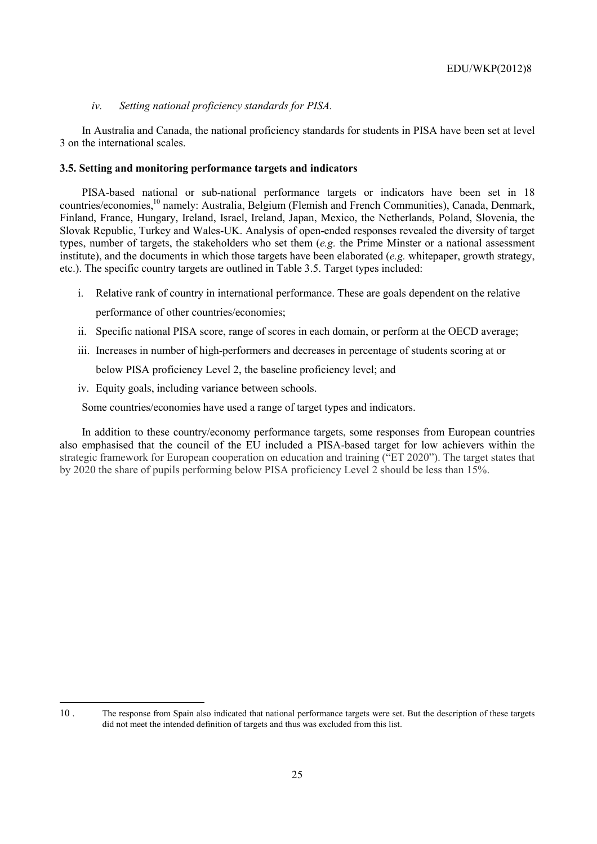### *iv. Setting national proficiency standards for PISA.*

In Australia and Canada, the national proficiency standards for students in PISA have been set at level 3 on the international scales.

#### **3.5. Setting and monitoring performance targets and indicators**

PISA-based national or sub-national performance targets or indicators have been set in 18 countries/economies,<sup>10</sup> namely: Australia, Belgium (Flemish and French Communities), Canada, Denmark, Finland, France, Hungary, Ireland, Israel, Ireland, Japan, Mexico, the Netherlands, Poland, Slovenia, the Slovak Republic, Turkey and Wales-UK. Analysis of open-ended responses revealed the diversity of target types, number of targets, the stakeholders who set them (*e.g.* the Prime Minster or a national assessment institute), and the documents in which those targets have been elaborated (*e.g.* whitepaper, growth strategy, etc.). The specific country targets are outlined in Table 3.5. Target types included:

- i. Relative rank of country in international performance. These are goals dependent on the relative performance of other countries/economies;
- ii. Specific national PISA score, range of scores in each domain, or perform at the OECD average;
- iii. Increases in number of high-performers and decreases in percentage of students scoring at or below PISA proficiency Level 2, the baseline proficiency level; and
- iv. Equity goals, including variance between schools.

 $\overline{a}$ 

Some countries/economies have used a range of target types and indicators.

In addition to these country/economy performance targets, some responses from European countries also emphasised that the council of the EU included a PISA-based target for low achievers within the strategic framework for European cooperation on education and training ("ET 2020"). The target states that by 2020 the share of pupils performing below PISA proficiency Level 2 should be less than 15%.

<sup>10 .</sup> The response from Spain also indicated that national performance targets were set. But the description of these targets did not meet the intended definition of targets and thus was excluded from this list.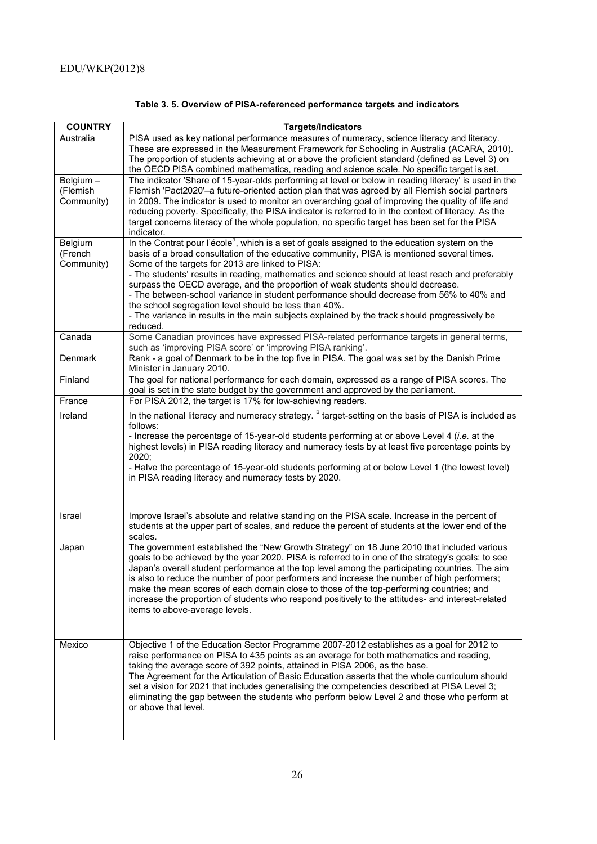| <b>COUNTRY</b>                     | <b>Targets/Indicators</b>                                                                                                                                                                                                                                                                                                                                                                                                                                                                                                                                                                                                                                                                                            |
|------------------------------------|----------------------------------------------------------------------------------------------------------------------------------------------------------------------------------------------------------------------------------------------------------------------------------------------------------------------------------------------------------------------------------------------------------------------------------------------------------------------------------------------------------------------------------------------------------------------------------------------------------------------------------------------------------------------------------------------------------------------|
| Australia                          | PISA used as key national performance measures of numeracy, science literacy and literacy.<br>These are expressed in the Measurement Framework for Schooling in Australia (ACARA, 2010).<br>The proportion of students achieving at or above the proficient standard (defined as Level 3) on<br>the OECD PISA combined mathematics, reading and science scale. No specific target is set.                                                                                                                                                                                                                                                                                                                            |
| Belgium-<br>(Flemish<br>Community) | The indicator 'Share of 15-year-olds performing at level or below in reading literacy' is used in the<br>Flemish 'Pact2020'-a future-oriented action plan that was agreed by all Flemish social partners<br>in 2009. The indicator is used to monitor an overarching goal of improving the quality of life and<br>reducing poverty. Specifically, the PISA indicator is referred to in the context of literacy. As the<br>target concerns literacy of the whole population, no specific target has been set for the PISA<br>indicator.                                                                                                                                                                               |
| Belgium<br>(French<br>Community)   | In the Contrat pour l'école <sup>a</sup> , which is a set of goals assigned to the education system on the<br>basis of a broad consultation of the educative community, PISA is mentioned several times.<br>Some of the targets for 2013 are linked to PISA:<br>- The students' results in reading, mathematics and science should at least reach and preferably<br>surpass the OECD average, and the proportion of weak students should decrease.<br>- The between-school variance in student performance should decrease from 56% to 40% and<br>the school segregation level should be less than 40%.<br>- The variance in results in the main subjects explained by the track should progressively be<br>reduced. |
| Canada                             | Some Canadian provinces have expressed PISA-related performance targets in general terms,<br>such as 'improving PISA score' or 'improving PISA ranking'.                                                                                                                                                                                                                                                                                                                                                                                                                                                                                                                                                             |
| Denmark                            | Rank - a goal of Denmark to be in the top five in PISA. The goal was set by the Danish Prime<br>Minister in January 2010.                                                                                                                                                                                                                                                                                                                                                                                                                                                                                                                                                                                            |
| Finland                            | The goal for national performance for each domain, expressed as a range of PISA scores. The<br>goal is set in the state budget by the government and approved by the parliament.                                                                                                                                                                                                                                                                                                                                                                                                                                                                                                                                     |
| France                             | For PISA 2012, the target is 17% for low-achieving readers.                                                                                                                                                                                                                                                                                                                                                                                                                                                                                                                                                                                                                                                          |
| Ireland                            | In the national literacy and numeracy strategy. <sup>b</sup> target-setting on the basis of PISA is included as<br>follows:<br>- Increase the percentage of 15-year-old students performing at or above Level 4 (i.e. at the<br>highest levels) in PISA reading literacy and numeracy tests by at least five percentage points by<br>2020;<br>- Halve the percentage of 15-year-old students performing at or below Level 1 (the lowest level)<br>in PISA reading literacy and numeracy tests by 2020.                                                                                                                                                                                                               |
| Israel                             | Improve Israel's absolute and relative standing on the PISA scale. Increase in the percent of<br>students at the upper part of scales, and reduce the percent of students at the lower end of the<br>scales.                                                                                                                                                                                                                                                                                                                                                                                                                                                                                                         |
| Japan                              | The government established the "New Growth Strategy" on 18 June 2010 that included various<br>goals to be achieved by the year 2020. PISA is referred to in one of the strategy's goals: to see<br>Japan's overall student performance at the top level among the participating countries. The aim<br>is also to reduce the number of poor performers and increase the number of high performers;<br>make the mean scores of each domain close to those of the top-performing countries; and<br>increase the proportion of students who respond positively to the attitudes- and interest-related<br>items to above-average levels.                                                                                  |
| Mexico                             | Objective 1 of the Education Sector Programme 2007-2012 establishes as a goal for 2012 to<br>raise performance on PISA to 435 points as an average for both mathematics and reading,<br>taking the average score of 392 points, attained in PISA 2006, as the base.<br>The Agreement for the Articulation of Basic Education asserts that the whole curriculum should<br>set a vision for 2021 that includes generalising the competencies described at PISA Level 3;<br>eliminating the gap between the students who perform below Level 2 and those who perform at<br>or above that level.                                                                                                                         |

# **Table 3. 5. Overview of PISA-referenced performance targets and indicators**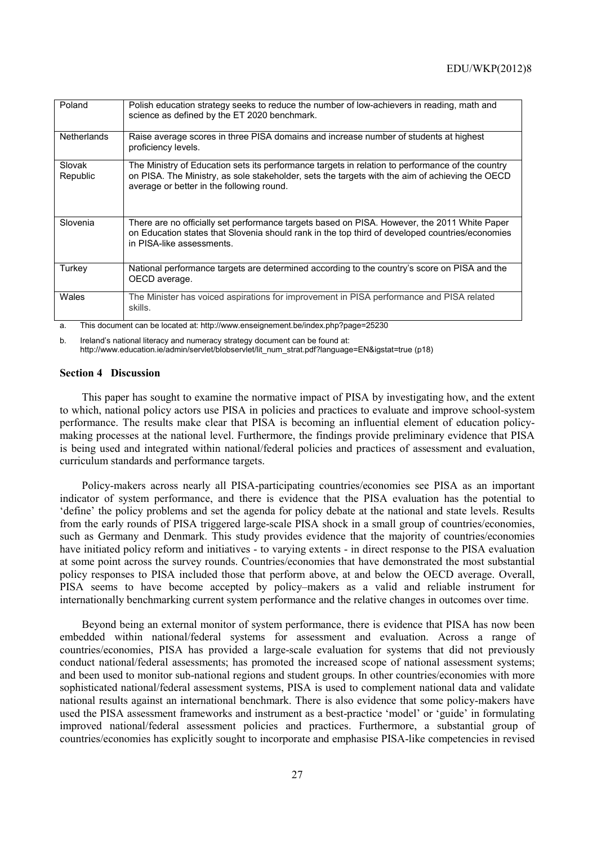| Poland             | Polish education strategy seeks to reduce the number of low-achievers in reading, math and<br>science as defined by the ET 2020 benchmark.                                                                                                       |
|--------------------|--------------------------------------------------------------------------------------------------------------------------------------------------------------------------------------------------------------------------------------------------|
| <b>Netherlands</b> | Raise average scores in three PISA domains and increase number of students at highest<br>proficiency levels.                                                                                                                                     |
| Slovak<br>Republic | The Ministry of Education sets its performance targets in relation to performance of the country<br>on PISA. The Ministry, as sole stakeholder, sets the targets with the aim of achieving the OECD<br>average or better in the following round. |
| Slovenia           | There are no officially set performance targets based on PISA. However, the 2011 White Paper<br>on Education states that Slovenia should rank in the top third of developed countries/economies<br>in PISA-like assessments.                     |
| Turkey             | National performance targets are determined according to the country's score on PISA and the<br>OECD average.                                                                                                                                    |
| Wales              | The Minister has voiced aspirations for improvement in PISA performance and PISA related<br>skills.                                                                                                                                              |

a. This document can be located at: http://www.enseignement.be/index.php?page=25230

b. Ireland's national literacy and numeracy strategy document can be found at: http://www.education.ie/admin/servlet/blobservlet/lit\_num\_strat.pdf?language=EN&igstat=true (p18)

#### **Section 4 Discussion**

This paper has sought to examine the normative impact of PISA by investigating how, and the extent to which, national policy actors use PISA in policies and practices to evaluate and improve school-system performance. The results make clear that PISA is becoming an influential element of education policymaking processes at the national level. Furthermore, the findings provide preliminary evidence that PISA is being used and integrated within national/federal policies and practices of assessment and evaluation, curriculum standards and performance targets.

Policy-makers across nearly all PISA-participating countries/economies see PISA as an important indicator of system performance, and there is evidence that the PISA evaluation has the potential to 'define' the policy problems and set the agenda for policy debate at the national and state levels. Results from the early rounds of PISA triggered large-scale PISA shock in a small group of countries/economies, such as Germany and Denmark. This study provides evidence that the majority of countries/economies have initiated policy reform and initiatives - to varying extents - in direct response to the PISA evaluation at some point across the survey rounds. Countries/economies that have demonstrated the most substantial policy responses to PISA included those that perform above, at and below the OECD average. Overall, PISA seems to have become accepted by policy–makers as a valid and reliable instrument for internationally benchmarking current system performance and the relative changes in outcomes over time.

Beyond being an external monitor of system performance, there is evidence that PISA has now been embedded within national/federal systems for assessment and evaluation. Across a range of countries/economies, PISA has provided a large-scale evaluation for systems that did not previously conduct national/federal assessments; has promoted the increased scope of national assessment systems; and been used to monitor sub-national regions and student groups. In other countries/economies with more sophisticated national/federal assessment systems, PISA is used to complement national data and validate national results against an international benchmark. There is also evidence that some policy-makers have used the PISA assessment frameworks and instrument as a best-practice 'model' or 'guide' in formulating improved national/federal assessment policies and practices. Furthermore, a substantial group of countries/economies has explicitly sought to incorporate and emphasise PISA-like competencies in revised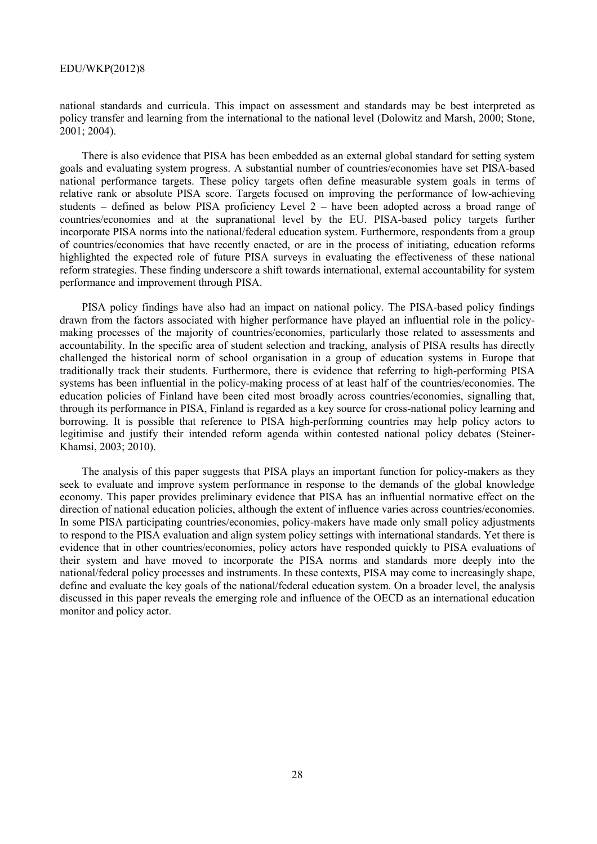#### EDU/WKP(2012)8

national standards and curricula. This impact on assessment and standards may be best interpreted as policy transfer and learning from the international to the national level (Dolowitz and Marsh, 2000; Stone, 2001; 2004).

There is also evidence that PISA has been embedded as an external global standard for setting system goals and evaluating system progress. A substantial number of countries/economies have set PISA-based national performance targets. These policy targets often define measurable system goals in terms of relative rank or absolute PISA score. Targets focused on improving the performance of low-achieving students – defined as below PISA proficiency Level 2 – have been adopted across a broad range of countries/economies and at the supranational level by the EU. PISA-based policy targets further incorporate PISA norms into the national/federal education system. Furthermore, respondents from a group of countries/economies that have recently enacted, or are in the process of initiating, education reforms highlighted the expected role of future PISA surveys in evaluating the effectiveness of these national reform strategies. These finding underscore a shift towards international, external accountability for system performance and improvement through PISA.

PISA policy findings have also had an impact on national policy. The PISA-based policy findings drawn from the factors associated with higher performance have played an influential role in the policymaking processes of the majority of countries/economies, particularly those related to assessments and accountability. In the specific area of student selection and tracking, analysis of PISA results has directly challenged the historical norm of school organisation in a group of education systems in Europe that traditionally track their students. Furthermore, there is evidence that referring to high-performing PISA systems has been influential in the policy-making process of at least half of the countries/economies. The education policies of Finland have been cited most broadly across countries/economies, signalling that, through its performance in PISA, Finland is regarded as a key source for cross-national policy learning and borrowing. It is possible that reference to PISA high-performing countries may help policy actors to legitimise and justify their intended reform agenda within contested national policy debates (Steiner-Khamsi, 2003; 2010).

The analysis of this paper suggests that PISA plays an important function for policy-makers as they seek to evaluate and improve system performance in response to the demands of the global knowledge economy. This paper provides preliminary evidence that PISA has an influential normative effect on the direction of national education policies, although the extent of influence varies across countries/economies. In some PISA participating countries/economies, policy-makers have made only small policy adjustments to respond to the PISA evaluation and align system policy settings with international standards. Yet there is evidence that in other countries/economies, policy actors have responded quickly to PISA evaluations of their system and have moved to incorporate the PISA norms and standards more deeply into the national/federal policy processes and instruments. In these contexts, PISA may come to increasingly shape, define and evaluate the key goals of the national/federal education system. On a broader level, the analysis discussed in this paper reveals the emerging role and influence of the OECD as an international education monitor and policy actor.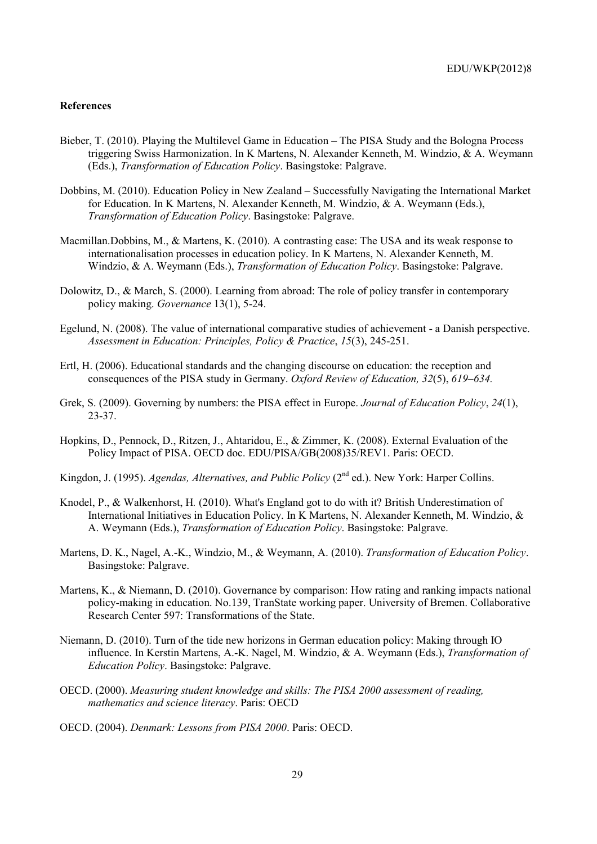## **References**

- Bieber, T. (2010). Playing the Multilevel Game in Education The PISA Study and the Bologna Process triggering Swiss Harmonization. In K Martens, N. Alexander Kenneth, M. Windzio, & A. Weymann (Eds.), *Transformation of Education Policy*. Basingstoke: Palgrave.
- Dobbins, M. (2010). Education Policy in New Zealand Successfully Navigating the International Market for Education. In K Martens, N. Alexander Kenneth, M. Windzio, & A. Weymann (Eds.), *Transformation of Education Policy*. Basingstoke: Palgrave.
- Macmillan.Dobbins, M., & Martens, K. (2010). A contrasting case: The USA and its weak response to internationalisation processes in education policy. In K Martens, N. Alexander Kenneth, M. Windzio, & A. Weymann (Eds.), *Transformation of Education Policy*. Basingstoke: Palgrave.
- Dolowitz, D., & March, S. (2000). Learning from abroad: The role of policy transfer in contemporary policy making. *Governance* 13(1), 5-24.
- Egelund, N. (2008). The value of international comparative studies of achievement a Danish perspective. *Assessment in Education: Principles, Policy & Practice*, *15*(3), 245-251.
- Ertl, H. (2006). Educational standards and the changing discourse on education: the reception and consequences of the PISA study in Germany. *Oxford Review of Education, 32*(5), *619–634.*
- Grek, S. (2009). Governing by numbers: the PISA effect in Europe. *Journal of Education Policy*, *24*(1), 23-37.
- Hopkins, D., Pennock, D., Ritzen, J., Ahtaridou, E., & Zimmer, K. (2008). External Evaluation of the Policy Impact of PISA. OECD doc. EDU/PISA/GB(2008)35/REV1. Paris: OECD.
- Kingdon, J. (1995). *Agendas, Alternatives, and Public Policy* (2<sup>nd</sup> ed.). New York: Harper Collins.
- Knodel, P., & Walkenhorst, H*.* (2010). What's England got to do with it? British Underestimation of International Initiatives in Education Policy. In K Martens, N. Alexander Kenneth, M. Windzio, & A. Weymann (Eds.), *Transformation of Education Policy*. Basingstoke: Palgrave.
- Martens, D. K., Nagel, A.-K., Windzio, M., & Weymann, A. (2010). *Transformation of Education Policy*. Basingstoke: Palgrave.
- Martens, K., & Niemann, D. (2010). Governance by comparison: How rating and ranking impacts national policy-making in education. No.139, TranState working paper. University of Bremen. Collaborative Research Center 597: Transformations of the State.
- Niemann, D. (2010). Turn of the tide new horizons in German education policy: Making through IO influence. In Kerstin Martens, A.-K. Nagel, M. Windzio, & A. Weymann (Eds.), *Transformation of Education Policy*. Basingstoke: Palgrave.
- OECD. (2000). *Measuring student knowledge and skills: The PISA 2000 assessment of reading, mathematics and science literacy*. Paris: OECD
- OECD. (2004). *Denmark: Lessons from PISA 2000*. Paris: OECD.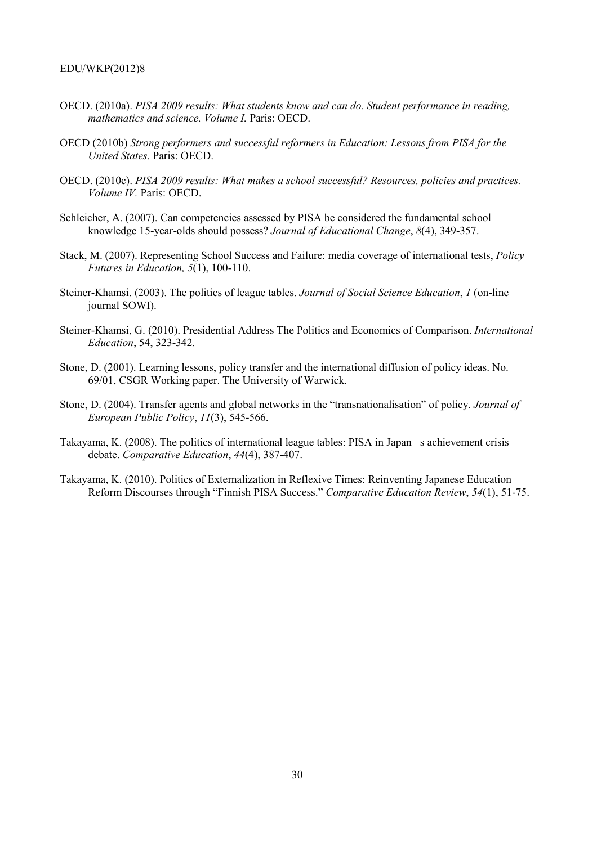- OECD. (2010a). *PISA 2009 results: What students know and can do. Student performance in reading, mathematics and science. Volume I.* Paris: OECD.
- OECD (2010b) *Strong performers and successful reformers in Education: Lessons from PISA for the United States*. Paris: OECD.
- OECD. (2010c). *PISA 2009 results: What makes a school successful? Resources, policies and practices. Volume IV.* Paris: OECD.
- Schleicher, A. (2007). Can competencies assessed by PISA be considered the fundamental school knowledge 15-year-olds should possess? *Journal of Educational Change*, *8*(4), 349-357.
- Stack, M. (2007). Representing School Success and Failure: media coverage of international tests, *Policy Futures in Education, 5*(1), 100-110.
- Steiner-Khamsi. (2003). The politics of league tables. *Journal of Social Science Education*, *1* (on-line journal SOWI).
- Steiner-Khamsi, G. (2010). Presidential Address The Politics and Economics of Comparison. *International Education*, 54, 323-342.
- Stone, D. (2001). Learning lessons, policy transfer and the international diffusion of policy ideas. No. 69/01, CSGR Working paper. The University of Warwick.
- Stone, D. (2004). Transfer agents and global networks in the "transnationalisation" of policy. *Journal of European Public Policy*, *11*(3), 545-566.
- Takayama, K. (2008). The politics of international league tables: PISA in Japan s achievement crisis debate. *Comparative Education*, *44*(4), 387-407.
- Takayama, K. (2010). Politics of Externalization in Reflexive Times: Reinventing Japanese Education Reform Discourses through "Finnish PISA Success." *Comparative Education Review*, *54*(1), 51-75.